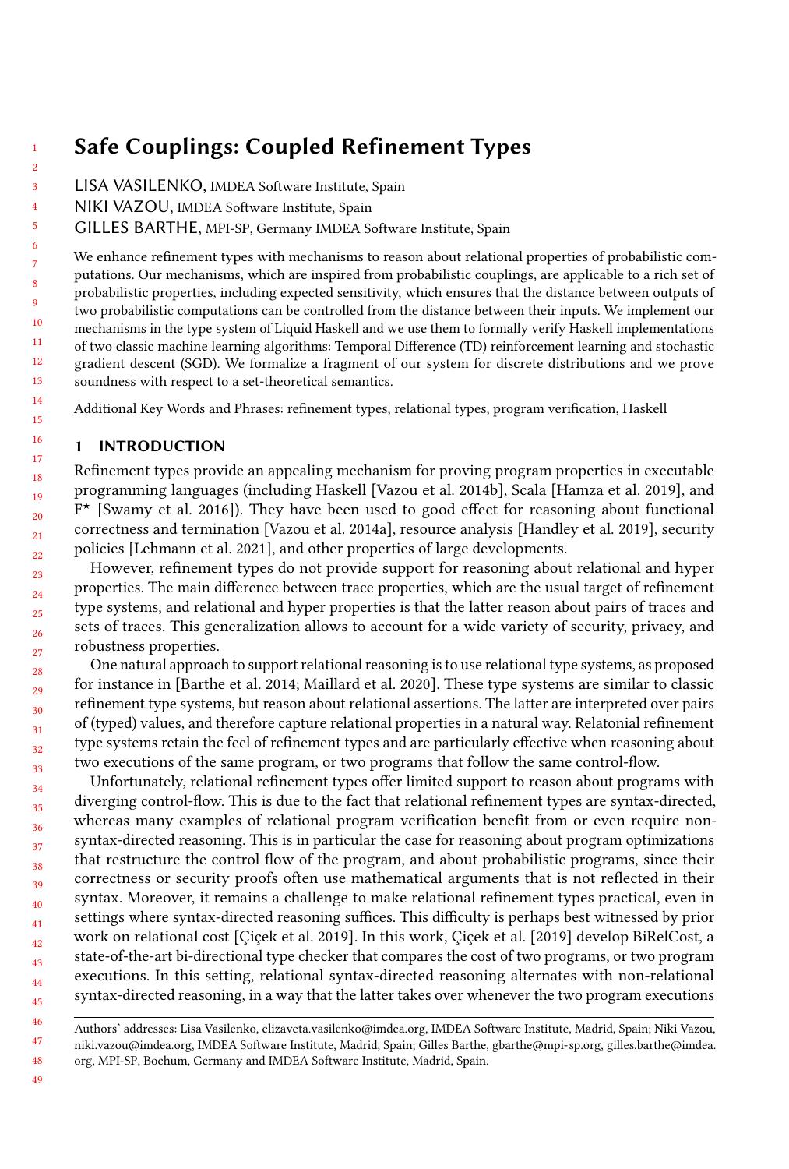# Safe Couplings: Coupled Refinement Types

- 3 LISA VASILENKO, IMDEA Software Institute, Spain
	- NIKI VAZOU, IMDEA Software Institute, Spain
	- GILLES BARTHE, MPI-SP, Germany IMDEA Software Institute, Spain

We enhance refinement types with mechanisms to reason about relational properties of probabilistic computations. Our mechanisms, which are inspired from probabilistic couplings, are applicable to a rich set of probabilistic properties, including expected sensitivity, which ensures that the distance between outputs of two probabilistic computations can be controlled from the distance between their inputs. We implement our mechanisms in the type system of Liquid Haskell and we use them to formally verify Haskell implementations of two classic machine learning algorithms: Temporal Difference (TD) reinforcement learning and stochastic gradient descent (SGD). We formalize a fragment of our system for discrete distributions and we prove soundness with respect to a set-theoretical semantics.

Additional Key Words and Phrases: refinement types, relational types, program verification, Haskell

## 1 INTRODUCTION

1 2

Refinement types provide an appealing mechanism for proving program properties in executable programming languages (including Haskell [\[Vazou et al.](#page-27-0) [2014b\]](#page-27-0), Scala [\[Hamza et al.](#page-25-0) [2019\]](#page-25-0), and F <sup>⋆</sup> [\[Swamy et al.](#page-26-0) [2016\]](#page-26-0)). They have been used to good effect for reasoning about functional correctness and termination [\[Vazou et al.](#page-27-1) [2014a\]](#page-27-1), resource analysis [\[Handley et al.](#page-25-1) [2019\]](#page-25-1), security policies [\[Lehmann et al. 2021\]](#page-26-1), and other properties of large developments.

However, refinement types do not provide support for reasoning about relational and hyper properties. The main difference between trace properties, which are the usual target of refinement type systems, and relational and hyper properties is that the latter reason about pairs of traces and sets of traces. This generalization allows to account for a wide variety of security, privacy, and robustness properties.

One natural approach to support relational reasoning is to use relational type systems, as proposed for instance in [\[Barthe et al.](#page-25-2) [2014;](#page-25-2) [Maillard et al.](#page-26-2) [2020\]](#page-26-2). These type systems are similar to classic refinement type systems, but reason about relational assertions. The latter are interpreted over pairs of (typed) values, and therefore capture relational properties in a natural way. Relatonial refinement type systems retain the feel of refinement types and are particularly effective when reasoning about two executions of the same program, or two programs that follow the same control-flow.

Unfortunately, relational refinement types offer limited support to reason about programs with diverging control-flow. This is due to the fact that relational refinement types are syntax-directed, whereas many examples of relational program verification benefit from or even require nonsyntax-directed reasoning. This is in particular the case for reasoning about program optimizations that restructure the control flow of the program, and about probabilistic programs, since their correctness or security proofs often use mathematical arguments that is not reflected in their syntax. Moreover, it remains a challenge to make relational refinement types practical, even in settings where syntax-directed reasoning suffices. This difficulty is perhaps best witnessed by prior work on relational cost [\[Çiçek et al.](#page-25-3) [2019\]](#page-25-3). In this work, [Çiçek et al.](#page-25-3) [\[2019\]](#page-25-3) develop BiRelCost, a state-of-the-art bi-directional type checker that compares the cost of two programs, or two program executions. In this setting, relational syntax-directed reasoning alternates with non-relational syntax-directed reasoning, in a way that the latter takes over whenever the two program executions

<sup>46</sup> 47 48 Authors' addresses: Lisa Vasilenko, elizaveta.vasilenko@imdea.org, IMDEA Software Institute, Madrid, Spain; Niki Vazou, niki.vazou@imdea.org, IMDEA Software Institute, Madrid, Spain; Gilles Barthe, gbarthe@mpi-sp.org, gilles.barthe@imdea. org, MPI-SP, Bochum, Germany and IMDEA Software Institute, Madrid, Spain.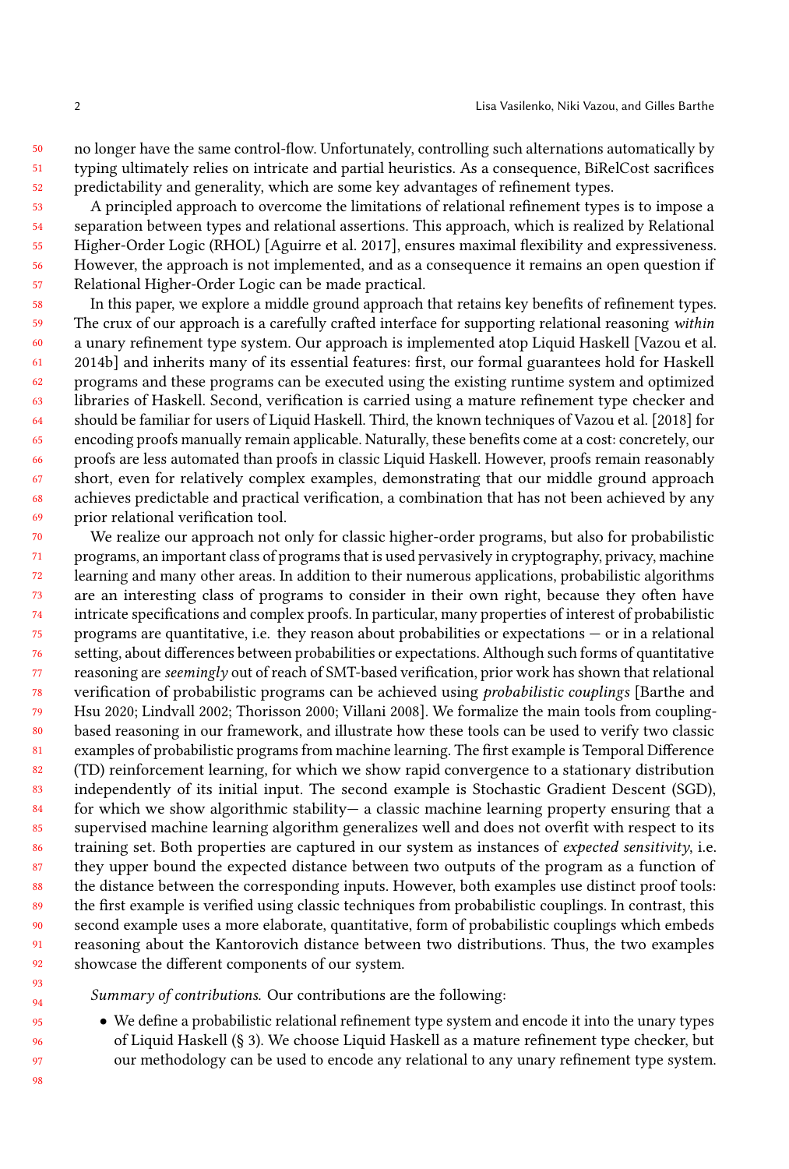50 51 52 no longer have the same control-flow. Unfortunately, controlling such alternations automatically by typing ultimately relies on intricate and partial heuristics. As a consequence, BiRelCost sacrifices predictability and generality, which are some key advantages of refinement types.

53 54 55 56 57 A principled approach to overcome the limitations of relational refinement types is to impose a separation between types and relational assertions. This approach, which is realized by Relational Higher-Order Logic (RHOL) [\[Aguirre et al.](#page-25-4) [2017\]](#page-25-4), ensures maximal flexibility and expressiveness. However, the approach is not implemented, and as a consequence it remains an open question if Relational Higher-Order Logic can be made practical.

58 59 60 61 62 63 64 65 66 67 68 69 In this paper, we explore a middle ground approach that retains key benefits of refinement types. The crux of our approach is a carefully crafted interface for supporting relational reasoning within a unary refinement type system. Our approach is implemented atop Liquid Haskell [\[Vazou et al.](#page-27-0) [2014b\]](#page-27-0) and inherits many of its essential features: first, our formal guarantees hold for Haskell programs and these programs can be executed using the existing runtime system and optimized libraries of Haskell. Second, verification is carried using a mature refinement type checker and should be familiar for users of Liquid Haskell. Third, the known techniques of [Vazou et al.](#page-27-2) [\[2018\]](#page-27-2) for encoding proofs manually remain applicable. Naturally, these benefits come at a cost: concretely, our proofs are less automated than proofs in classic Liquid Haskell. However, proofs remain reasonably short, even for relatively complex examples, demonstrating that our middle ground approach achieves predictable and practical verification, a combination that has not been achieved by any prior relational verification tool.

70 71 72 73 74 75 76 77 78 79  $80$ 81 82 83 84 85 86 87 88 89 90 91 92 We realize our approach not only for classic higher-order programs, but also for probabilistic programs, an important class of programs that is used pervasively in cryptography, privacy, machine learning and many other areas. In addition to their numerous applications, probabilistic algorithms are an interesting class of programs to consider in their own right, because they often have intricate specifications and complex proofs. In particular, many properties of interest of probabilistic programs are quantitative, i.e. they reason about probabilities or expectations — or in a relational setting, about differences between probabilities or expectations. Although such forms of quantitative reasoning are seemingly out of reach of SMT-based verification, prior work has shown that relational verification of probabilistic programs can be achieved using probabilistic couplings [\[Barthe and](#page-25-5) [Hsu 2020;](#page-25-5) [Lindvall 2002;](#page-26-3) [Thorisson 2000;](#page-26-4) [Villani 2008\]](#page-27-3). We formalize the main tools from couplingbased reasoning in our framework, and illustrate how these tools can be used to verify two classic examples of probabilistic programs from machine learning. The first example is Temporal Difference (TD) reinforcement learning, for which we show rapid convergence to a stationary distribution independently of its initial input. The second example is Stochastic Gradient Descent (SGD), for which we show algorithmic stability— a classic machine learning property ensuring that a supervised machine learning algorithm generalizes well and does not overfit with respect to its training set. Both properties are captured in our system as instances of expected sensitivity, i.e. they upper bound the expected distance between two outputs of the program as a function of the distance between the corresponding inputs. However, both examples use distinct proof tools: the first example is verified using classic techniques from probabilistic couplings. In contrast, this second example uses a more elaborate, quantitative, form of probabilistic couplings which embeds reasoning about the Kantorovich distance between two distributions. Thus, the two examples showcase the different components of our system.

Summary of contributions. Our contributions are the following:

• We define a probabilistic relational refinement type system and encode it into the unary types of Liquid Haskell (§ [3\)](#page-7-0). We choose Liquid Haskell as a mature refinement type checker, but our methodology can be used to encode any relational to any unary refinement type system.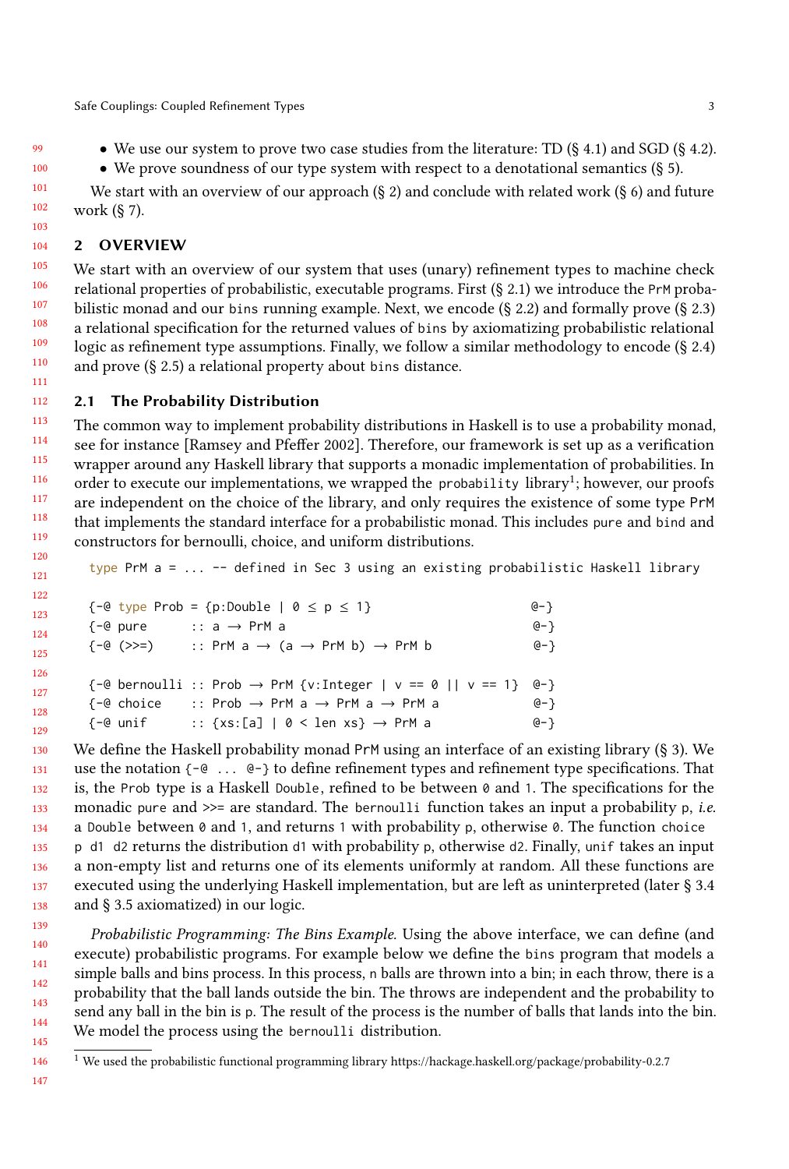• We use our system to prove two case studies from the literature: TD (§ [4.1\)](#page-11-0) and SGD (§ [4.2\)](#page-13-0).

• We prove soundness of our type system with respect to a denotational semantics  $(\S 5)$  $(\S 5)$ .

We start with an overview of our approach  $(\xi 2)$  $(\xi 2)$  and conclude with related work  $(\xi 6)$  $(\xi 6)$  and future work (§ [7\)](#page-24-0).

#### <span id="page-2-0"></span>104 2 OVERVIEW

111

121

105 106 107 108 109 110 We start with an overview of our system that uses (unary) refinement types to machine check relational properties of probabilistic, executable programs. First (§ [2.1\)](#page-2-1) we introduce the PrM probabilistic monad and our bins running example. Next, we encode (§ [2.2\)](#page-3-0) and formally prove (§ [2.3\)](#page-4-0) a relational specification for the returned values of bins by axiomatizing probabilistic relational logic as refinement type assumptions. Finally, we follow a similar methodology to encode (§ [2.4\)](#page-5-0) and prove (§ [2.5\)](#page-6-0) a relational property about bins distance.

#### <span id="page-2-1"></span>112 2.1 The Probability Distribution

113 114 115 116 117 118 119 120 The common way to implement probability distributions in Haskell is to use a probability monad, see for instance [\[Ramsey and Pfeffer 2002\]](#page-26-5). Therefore, our framework is set up as a verification wrapper around any Haskell library that supports a monadic implementation of probabilities. In order to execute our implementations, we wrapped the probability library $^1;$  $^1;$  $^1;$  however, our proofs are independent on the choice of the library, and only requires the existence of some type PrM that implements the standard interface for a probabilistic monad. This includes pure and bind and constructors for bernoulli, choice, and uniform distributions.

type PrM  $a = \ldots$  -- defined in Sec 3 using an existing probabilistic Haskell library

| 122 |          |                                                                                    |      |
|-----|----------|------------------------------------------------------------------------------------|------|
| 123 |          | $\{-@type\ Prob = \{p:Double \mid 0 \le p \le 1\}$                                 | @− } |
| 124 | {−@ pure | :: a → PrM a                                                                       | @− } |
|     |          | $\{-@>>>$ :: PrM $a \rightarrow (a \rightarrow PrM b) \rightarrow PrM b$           | @-}  |
| 125 |          |                                                                                    |      |
| 126 |          |                                                                                    |      |
| 127 |          | $\{-@bernoulli :: Prob \rightarrow PrM \{v:Integer \mid v == 0 \mid v == 1\} @-\}$ |      |
|     |          | $\{-@choice \; : \; Prob \rightarrow PrM a \rightarrow PrM a \rightarrow PrM a \}$ | @-}  |
| 128 |          |                                                                                    |      |
| 129 | {−@ unif | :: {xs:[a]   0 < len xs} → PrM a                                                   | @-}  |

130 131 132 133 134 135 136 137 138 We define the Haskell probability monad PrM using an interface of an existing library (§ [3\)](#page-7-0). We use the notation {-@ ... @-} to define refinement types and refinement type specifications. That is, the Prob type is a Haskell Double, refined to be between  $\theta$  and 1. The specifications for the monadic pure and  $\gg$ = are standard. The bernoulli function takes an input a probability p, *i.e.* a Double between 0 and 1, and returns 1 with probability p, otherwise 0. The function choice p d1 d2 returns the distribution d1 with probability p, otherwise d2. Finally, unif takes an input a non-empty list and returns one of its elements uniformly at random. All these functions are executed using the underlying Haskell implementation, but are left as uninterpreted (later § [3.4](#page-10-0) and § [3.5](#page-10-1) axiomatized) in our logic.

139 140 141 142 143 144 145 Probabilistic Programming: The Bins Example. Using the above interface, we can define (and execute) probabilistic programs. For example below we define the bins program that models a simple balls and bins process. In this process, n balls are thrown into a bin; in each throw, there is a probability that the ball lands outside the bin. The throws are independent and the probability to send any ball in the bin is p. The result of the process is the number of balls that lands into the bin. We model the process using the bernoulli distribution.

<span id="page-2-2"></span><sup>1</sup> We used the probabilistic functional programming library<https://hackage.haskell.org/package/probability-0.2.7>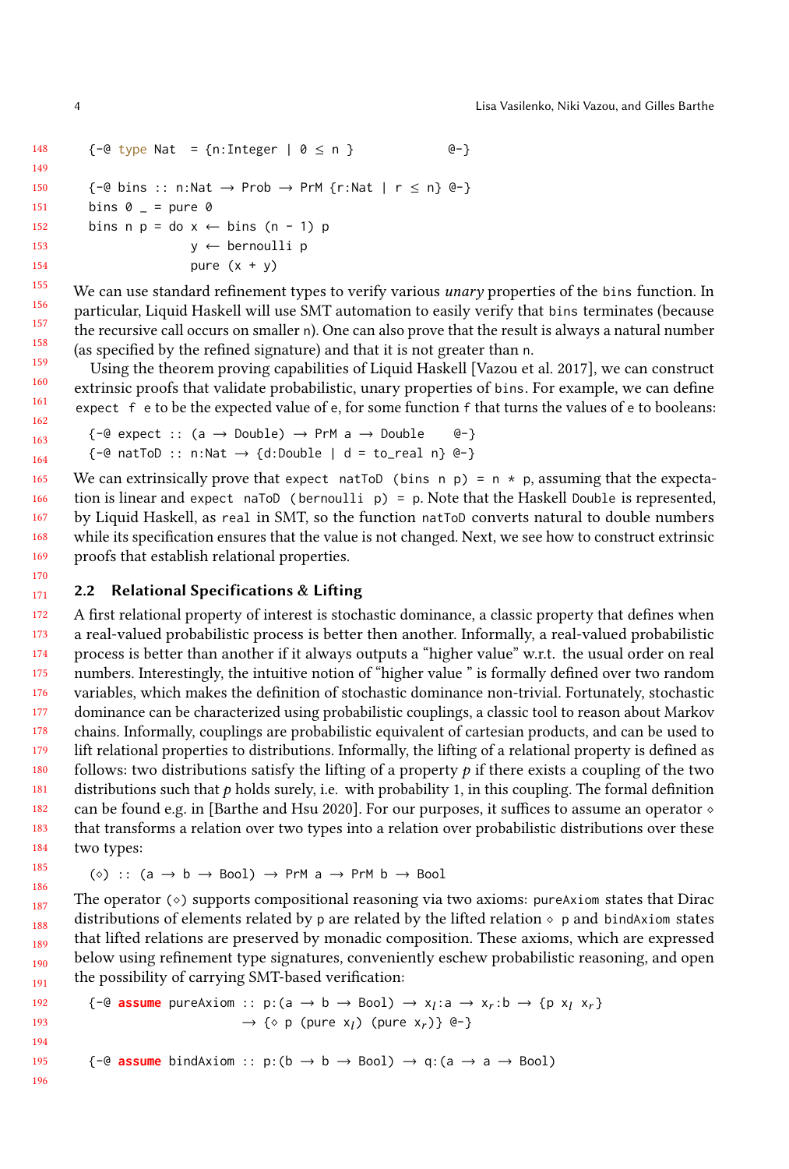```
148
149
150
151
152
153
154
155
        \{-@type Nat = \{n:Integer | @\leq n \} @-\}\{-@bins :: n:Nat \rightarrow Prob \rightarrow PrM \{r:Nat | r \le n\} @-\}bins 0 = = pure 0
        bins n p = do x \leftarrow bins (n - 1) py ← bernoulli p
                         pure (x + y)
```
156 158 159 We can use standard refinement types to verify various *unary* properties of the bins function. In particular, Liquid Haskell will use SMT automation to easily verify that bins terminates (because the recursive call occurs on smaller n). One can also prove that the result is always a natural number (as specified by the refined signature) and that it is not greater than n.

Using the theorem proving capabilities of Liquid Haskell [\[Vazou et al.](#page-27-4) [2017\]](#page-27-4), we can construct extrinsic proofs that validate probabilistic, unary properties of bins. For example, we can define expect f e to be the expected value of e, for some function f that turns the values of e to booleans:

```
\{-@ expect :: (a \rightarrow Double) \rightarrow PrM a \rightarrow Double @\{-} \}\{-@ \text{ natToD} :: n:Nat \rightarrow \{d:Double \mid d = to\_real \mid n\} @-\}
```
165 166 167 168 169 We can extrinsically prove that expect natToD (bins n p) =  $n * p$ , assuming that the expectation is linear and expect naToD (bernoulli  $p$ ) = p. Note that the Haskell Double is represented, by Liquid Haskell, as real in SMT, so the function natToD converts natural to double numbers while its specification ensures that the value is not changed. Next, we see how to construct extrinsic proofs that establish relational properties.

#### <span id="page-3-0"></span>171 2.2 Relational Specifications & Lifting

172 173 174 175 176 177 178 179 180 181 182 183 184 A first relational property of interest is stochastic dominance, a classic property that defines when a real-valued probabilistic process is better then another. Informally, a real-valued probabilistic process is better than another if it always outputs a "higher value" w.r.t. the usual order on real numbers. Interestingly, the intuitive notion of "higher value " is formally defined over two random variables, which makes the definition of stochastic dominance non-trivial. Fortunately, stochastic dominance can be characterized using probabilistic couplings, a classic tool to reason about Markov chains. Informally, couplings are probabilistic equivalent of cartesian products, and can be used to lift relational properties to distributions. Informally, the lifting of a relational property is defined as follows: two distributions satisfy the lifting of a property  $p$  if there exists a coupling of the two distributions such that  $p$  holds surely, i.e. with probability 1, in this coupling. The formal definition can be found e.g. in [\[Barthe and Hsu 2020\]](#page-25-5). For our purposes, it suffices to assume an operator  $\circ$ that transforms a relation over two types into a relation over probabilistic distributions over these two types:

$$
(\diamond)
$$
 ::  $(a \rightarrow b \rightarrow Bool)$   $\rightarrow$  PrM a  $\rightarrow$  PrM b  $\rightarrow$  Bool

187 188 189 190 191 The operator  $(\diamond)$  supports compositional reasoning via two axioms: pureAxiom states that Dirac distributions of elements related by p are related by the lifted relation  $\circ$  p and bindAxiom states that lifted relations are preserved by monadic composition. These axioms, which are expressed below using refinement type signatures, conveniently eschew probabilistic reasoning, and open the possibility of carrying SMT-based verification:

$$
\{-e \text{ assume pureAxiom} : p:(a \to b \to \text{Bool}) \to x_I: a \to x_r: b \to \{p \times_I x_r\} \to \{\circ \ p \text{ (pure } x_I) \text{ (pure } x_r)\} \text{ }e\}
$$
\n
$$
\{-e \text{ assume bindAxiom} : p:(b \to b \to \text{Bool}) \to q:(a \to a \to \text{Bool})
$$

157

170

185 186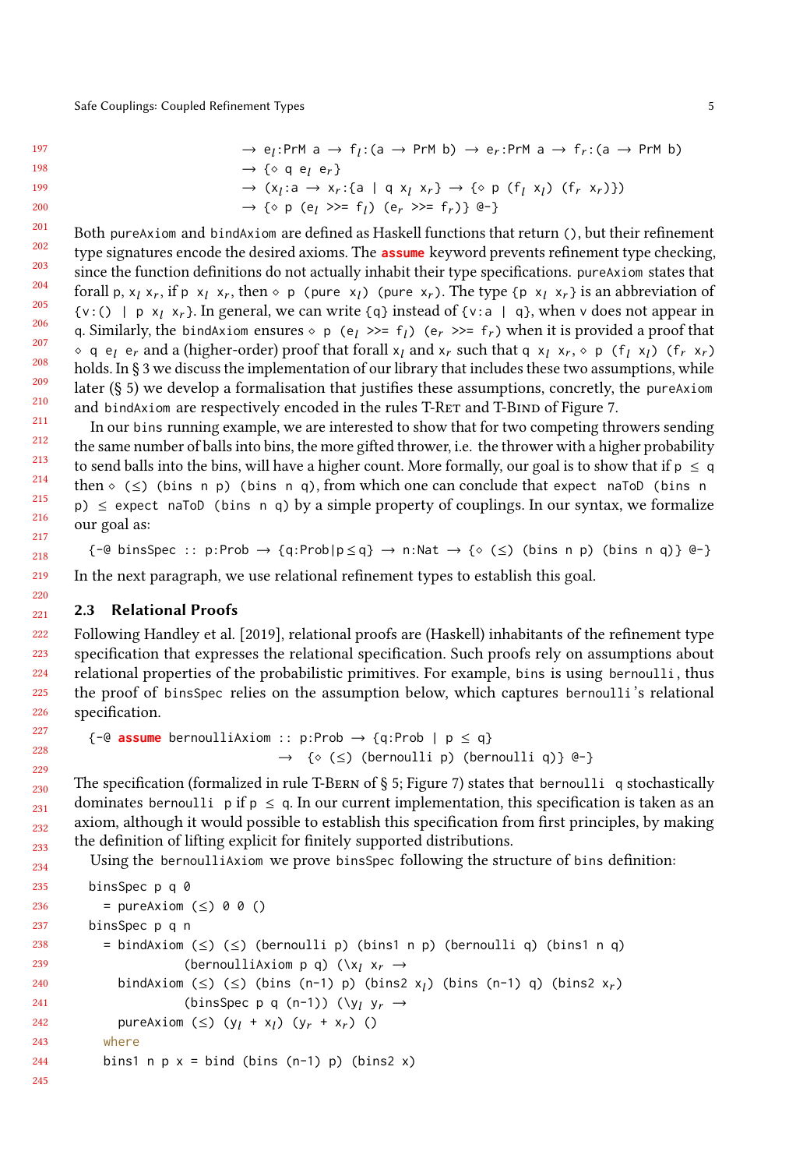```
\rightarrow e<sub>l</sub>:PrM a \rightarrow f<sub>l</sub>:(a \rightarrow PrM b) \rightarrow e<sub>r</sub>:PrM a \rightarrow f<sub>r</sub>:(a \rightarrow PrM b)
→ {⋄ q el er }
\rightarrow (x<sub>l</sub>:a \rightarrow x<sub>r</sub>:{a | q x<sub>l</sub> x<sub>r</sub>} \rightarrow {\circ p (f<sub>l</sub> x<sub>l</sub>) (f<sub>r</sub> x<sub>r</sub>)})
\rightarrow \{\circ \text{ p } (\text{e}_l \gg = \text{f}_l) \ (\text{e}_r \gg = \text{f}_r) \} \ @- \}
```
201 202 203 204 205 206 207 208 209 210 211 Both pureAxiom and bindAxiom are defined as Haskell functions that return (), but their refinement type signatures encode the desired axioms. The **assume** keyword prevents refinement type checking, since the function definitions do not actually inhabit their type specifications. pureAxiom states that forall p,  $x_l$  x<sub>r</sub>, if p  $x_l$  x<sub>r</sub>, then  $\circ$  p (pure x<sub>l</sub>) (pure x<sub>r</sub>). The type {p x<sub>l</sub> x<sub>r</sub>} is an abbreviation of  $\{v:() | p \times_l x_r\}$ . In general, we can write  $\{q\}$  instead of  $\{v: a | q\}$ , when v does not appear in q. Similarly, the bindAxiom ensures  $\circ$  p (e<sub>l</sub> >>= f<sub>l</sub>) (e<sub>r</sub> >>= f<sub>r</sub>) when it is provided a proof that ◇ q e<sub>l</sub> e<sub>r</sub> and a (higher-order) proof that forall  $x_l$  and  $x_r$  such that q  $x_l$   $x_r$ , ◇ p ( $f_l$   $x_l$ ) ( $f_r$   $x_r$ )<br>holds In 8.3 we discuss the implementation of our library that includes these two assumptions, while holds. In § [3](#page-7-0) we discuss the implementation of our library that includes these two assumptions, while later (§ [5\)](#page-16-0) we develop a formalisation that justifies these assumptions, concretly, the pureAxiom and bindAxiom are respectively encoded in the rules T-RET and T-BIND of Figure [7.](#page-19-0)

In our bins running example, we are interested to show that for two competing throwers sending the same number of balls into bins, the more gifted thrower, i.e. the thrower with a higher probability to send balls into the bins, will have a higher count. More formally, our goal is to show that if  $p \leq q$ then  $\circ$  ( $\leq$ ) (bins n p) (bins n q), from which one can conclude that expect naToD (bins n p)  $\leq$  expect naToD (bins n q) by a simple property of couplings. In our syntax, we formalize our goal as:

 $\{-\Theta \text{ binsSpec} : p: Prob \rightarrow \{q: Prob | p \leq q\} \rightarrow n:\mathbb{N}at \rightarrow \{\circ (\leq) \text{ (bins } n \text{ p}) \text{ (bins } q\} \ \Theta\}$ In the next paragraph, we use relational refinement types to establish this goal.

### <span id="page-4-0"></span>2.3 Relational Proofs

222 Following [Handley et al.](#page-25-1) [\[2019\]](#page-25-1), relational proofs are (Haskell) inhabitants of the refinement type specification that expresses the relational specification. Such proofs rely on assumptions about relational properties of the probabilistic primitives. For example, bins is using bernoulli , thus the proof of binsSpec relies on the assumption below, which captures bernoulli 's relational specification.

```
\{-@ assume bernoulliAxiom :: p:Prob \rightarrow \{q:Prob \mid p \leq q\}→ {⋄ (≤) (bernoulli p) (bernoulli q)} @-}
```
The specification (formalized in rule T-BERN of  $\S$  [5;](#page-16-0) Figure [7\)](#page-19-0) states that bernoulli q stochastically dominates bernoulli p if  $p \le q$ . In our current implementation, this specification is taken as an axiom, although it would possible to establish this specification from first principles, by making the definition of lifting explicit for finitely supported distributions.

Using the bernoulliAxiom we prove binsSpec following the structure of bins definition:

```
235
236
237
238
239
240
241
242
243
244
245
          binsSpec p q 0
            = pureAxiom (≤) 0 0 ()
          binsSpec p q n
            = bindAxiom (≤) (≤) (bernoulli p) (bins1 n p) (bernoulli q) (bins1 n q)
                           (bernoulliAxiom p q) (\lambda_i x_i \rightarrowbindAxiom (≤) (≤) (bins (n-1) p) (bins2 x<sub>l</sub>) (bins (n-1) q) (bins2 x<sub>r</sub>) (bins2 x<sub>r</sub>)
                           (binsSpec p q (n-1)) (\forall y_l y<sub>r</sub> \rightarrowpureAxiom (≤) (y_l + x_l) (y_r + x_r) ()
             where
            bins1 n p x = bind (bins (n-1) p) (bins2 x)
```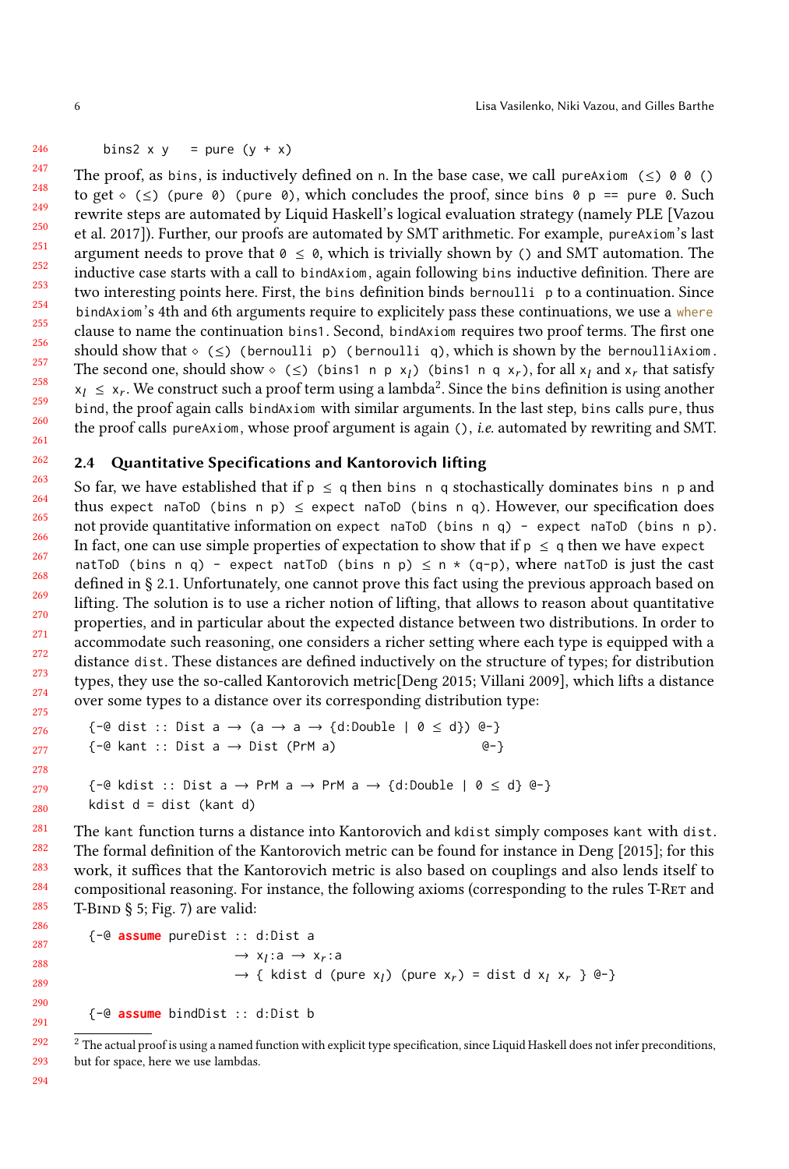#### bins2 x y = pure  $(y + x)$

247 248 249 250 251 252 253 254 255 256 257 258 259 260 261 The proof, as bins, is inductively defined on n. In the base case, we call pureAxiom ( $\leq$ ) 0 0 () to get  $\circ$  ( $\leq$ ) (pure 0) (pure 0), which concludes the proof, since bins 0 p == pure 0. Such rewrite steps are automated by Liquid Haskell's logical evaluation strategy (namely PLE [\[Vazou](#page-27-4) [et al.](#page-27-4) [2017\]](#page-27-4)). Further, our proofs are automated by SMT arithmetic. For example, pureAxiom's last argument needs to prove that  $0 \le \theta$ , which is trivially shown by () and SMT automation. The inductive case starts with a call to bindAxiom, again following bins inductive definition. There are two interesting points here. First, the bins definition binds bernoulli p to a continuation. Since bindAxiom's 4th and 6th arguments require to explicitely pass these continuations, we use a where clause to name the continuation bins1. Second, bindAxiom requires two proof terms. The first one should show that  $\circ$  ( $\leq$ ) (bernoulli p) (bernoulli q), which is shown by the bernoulliAxiom. The second one, should show  $\circ$  ( $\leq$ ) (bins1 n p x<sub>l</sub>) (bins1 n q x<sub>r</sub>), for all x<sub>l</sub> and x<sub>r</sub> that satisfy  $x_l \leq x_r$ . We construct such a proof term using a lambda<sup>[2](#page-5-1)</sup>. Since the bins definition is using another hind the proof again calls bind/view with similar arguments. In the last step, hing calls pure, thus bind, the proof again calls bindAxiom with similar arguments. In the last step, bins calls pure, thus the proof calls pureAxiom, whose proof argument is again  $()$ , *i.e.* automated by rewriting and SMT.

### <span id="page-5-0"></span>2.4 Quantitative Specifications and Kantorovich lifting

So far, we have established that if  $p \leq q$  then bins n q stochastically dominates bins n p and thus expect naToD (bins n p)  $\leq$  expect naToD (bins n q). However, our specification does not provide quantitative information on expect naToD (bins n q) - expect naToD (bins n p). In fact, one can use simple properties of expectation to show that if  $p \le q$  then we have expect natToD (bins n q) - expect natToD (bins n p)  $\leq$  n  $\star$  (q-p), where natToD is just the cast defined in § [2.1.](#page-2-1) Unfortunately, one cannot prove this fact using the previous approach based on lifting. The solution is to use a richer notion of lifting, that allows to reason about quantitative properties, and in particular about the expected distance between two distributions. In order to accommodate such reasoning, one considers a richer setting where each type is equipped with a distance dist. These distances are defined inductively on the structure of types; for distribution types, they use the so-called Kantorovich metric[\[Deng 2015;](#page-25-6) [Villani 2009\]](#page-27-5), which lifts a distance over some types to a distance over its corresponding distribution type:

```
\{-@dist :: Dist a \rightarrow (a \rightarrow a \rightarrow \{d:\text{Double} \mid 0 \le d\}) @-\}\{-@ kant :: Dist a \rightarrow Dist (PrM a) @-\}\{-@kdist :: Dist a \rightarrow PrM a \rightarrow PrM a \rightarrow \{d:Double \mid 0 \le d\} @-\}kdist d = dist (kant d)
```
The kant function turns a distance into Kantorovich and kdist simply composes kant with dist. The formal definition of the Kantorovich metric can be found for instance in [Deng](#page-25-6) [\[2015\]](#page-25-6); for this work, it suffices that the Kantorovich metric is also based on couplings and also lends itself to compositional reasoning. For instance, the following axioms (corresponding to the rules T-RET and T-BIND  $\S$  [5;](#page-16-0) Fig. [7\)](#page-19-0) are valid:

```
{-@ assume pureDist :: d:Dist a
                                       \rightarrow x<sub>l</sub>:a \rightarrow x<sub>r</sub>:a
                                       \rightarrow { kdist d (pure x<sub>l</sub>) (pure x<sub>r</sub>) = dist d x<sub>l</sub> x<sub>r</sub> } @-}
```
{-@ **assume** bindDist :: d:Dist b

<span id="page-5-1"></span> $2$  The actual proof is using a named function with explicit type specification, since Liquid Haskell does not infer preconditions, but for space, here we use lambdas.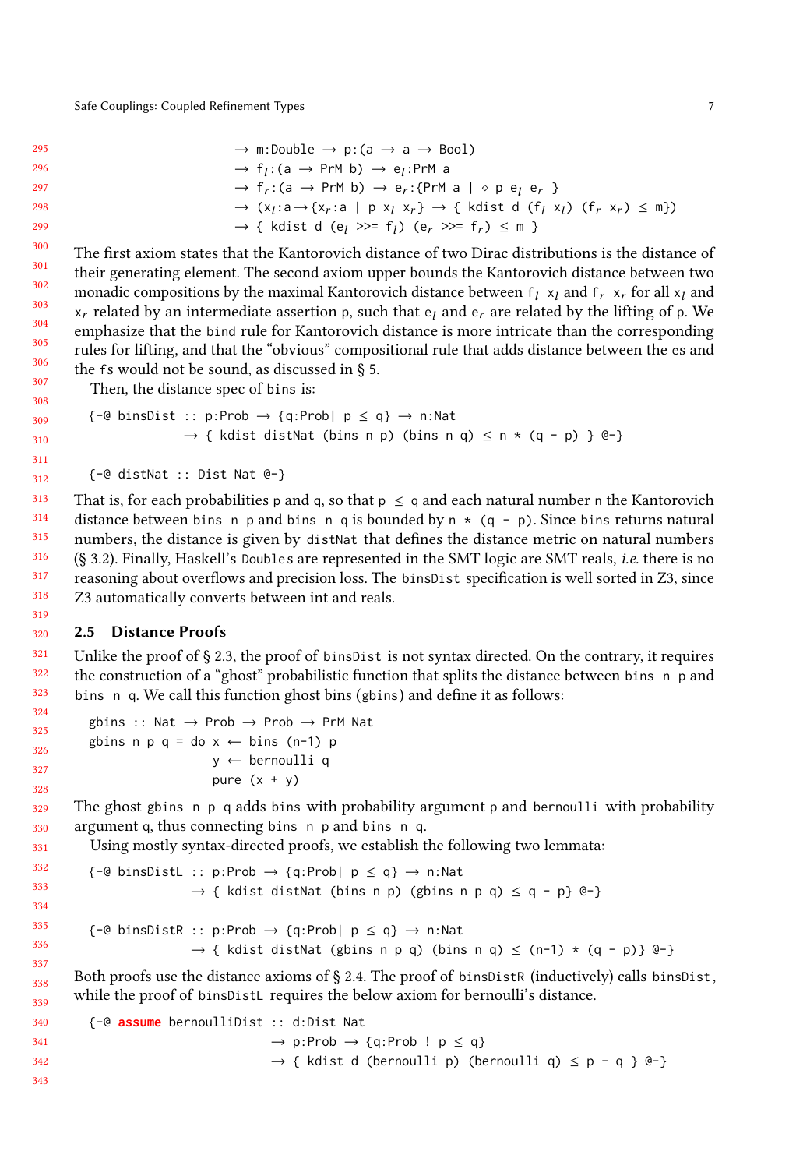319 320

| 295 | $\rightarrow$ m:Double $\rightarrow$ p: (a $\rightarrow$ a $\rightarrow$ Bool)                                                                                                                             |
|-----|------------------------------------------------------------------------------------------------------------------------------------------------------------------------------------------------------------|
| 296 | $\rightarrow$ f <sub>1</sub> :(a $\rightarrow$ PrM b) $\rightarrow$ e <sub>1</sub> :PrM a                                                                                                                  |
| 297 | $\rightarrow$ f <sub>r</sub> :(a $\rightarrow$ PrM b) $\rightarrow$ e <sub>r</sub> :{PrM a   $\circ$ p e <sub>l</sub> e <sub>r</sub> }                                                                     |
| 298 | $\rightarrow$ (x <sub>i</sub> :a $\rightarrow$ {x <sub>r</sub> :a   p x <sub>i</sub> x <sub>r</sub> } $\rightarrow$ { kdist d (f <sub>i</sub> x <sub>i</sub> ) (f <sub>r</sub> x <sub>r</sub> ) $\leq$ m}) |
| 299 | $\rightarrow$ { kdist d (e <sub>l</sub> >>= f <sub>l</sub> ) (e <sub>r</sub> >>= f <sub>r</sub> ) $\leq$ m }                                                                                               |

The first axiom states that the Kantorovich distance of two Dirac distributions is the distance of their generating element. The second axiom upper bounds the Kantorovich distance between two monadic compositions by the maximal Kantorovich distance between  $f_l x_l$  and  $f_r x_r$  for all  $x_l$  and  $x_r$  related by an intermediate assertion p, such that  $e_l$  and  $e_r$  are related by the lifting of p. We emphasize that the bind rule for Kantorovich distance is more intricate than the corresponding rules for lifting, and that the "obvious" compositional rule that adds distance between the es and the fs would not be sound, as discussed in § [5.](#page-16-0)

Then, the distance spec of bins is:

$$
\begin{aligned}\n\{-\mathcal{Q} \text{ binsDist} :: p: \text{Prob} \rightarrow \{q: \text{Prob} | p \leq q\} \rightarrow n: \text{Nat} \\
\rightarrow \{ \text{ kdist distNat (bins n p) (bins n q) \leq n * (q - p) \} \ \mathcal{Q} - \} \n\end{aligned}
$$

```
{-@ distNat :: Dist Nat @-}
```
313 314 315 316 317 318 That is, for each probabilities p and q, so that  $p \le q$  and each natural number n the Kantorovich distance between bins n p and bins n q is bounded by n  $*$  (q - p). Since bins returns natural numbers, the distance is given by distNat that defines the distance metric on natural numbers (§ [3.2\)](#page-9-0). Finally, Haskell's Doubles are represented in the SMT logic are SMT reals, i.e. there is no reasoning about overflows and precision loss. The binsDist specification is well sorted in Z3, since Z3 automatically converts between int and reals.

#### <span id="page-6-0"></span>2.5 Distance Proofs

321 322 323 Unlike the proof of  $\S 2.3$ , the proof of binsDist is not syntax directed. On the contrary, it requires the construction of a "ghost" probabilistic function that splits the distance between bins n p and bins n q. We call this function ghost bins (gbins) and define it as follows:

```
gbins :: Nat → Prob → Prob → PrM Nat
gbins n p q = do x \leftarrow bins (n-1) p
                 y ← bernoulli q
                 pure (x + y)
```
The ghost gbins n p q adds bins with probability argument p and bernoulli with probability argument q, thus connecting bins n p and bins n q.

Using mostly syntax-directed proofs, we establish the following two lemmata:

```
332
333
334
335
336
337
          \{-@binsDistL :: p: Prob \rightarrow \{q:Prob | p \leq q\} \rightarrow n:Nat\rightarrow { kdist distNat (bins n p) (gbins n p q) \leq q - p} @-}
          \{-@binsDistR :: p: Prob \rightarrow \{q:Prob \mid p \leq q\} \rightarrow n:Nat\rightarrow { kdist distNat (gbins n p q) (bins n q) \le (n-1) * (q - p)} @-}
```
338 339 Both proofs use the distance axioms of  $\S 2.4$ . The proof of binsDistR (inductively) calls binsDist, while the proof of binsDistL requires the below axiom for bernoulli's distance.

340 341 342 343 {-@ **assume** bernoulliDist :: d:Dist Nat  $\rightarrow$  p:Prob  $\rightarrow$  {q:Prob ! p  $\leq$  q}  $\rightarrow$  { kdist d (bernoulli p) (bernoulli q)  $\leq$  p - q } @-}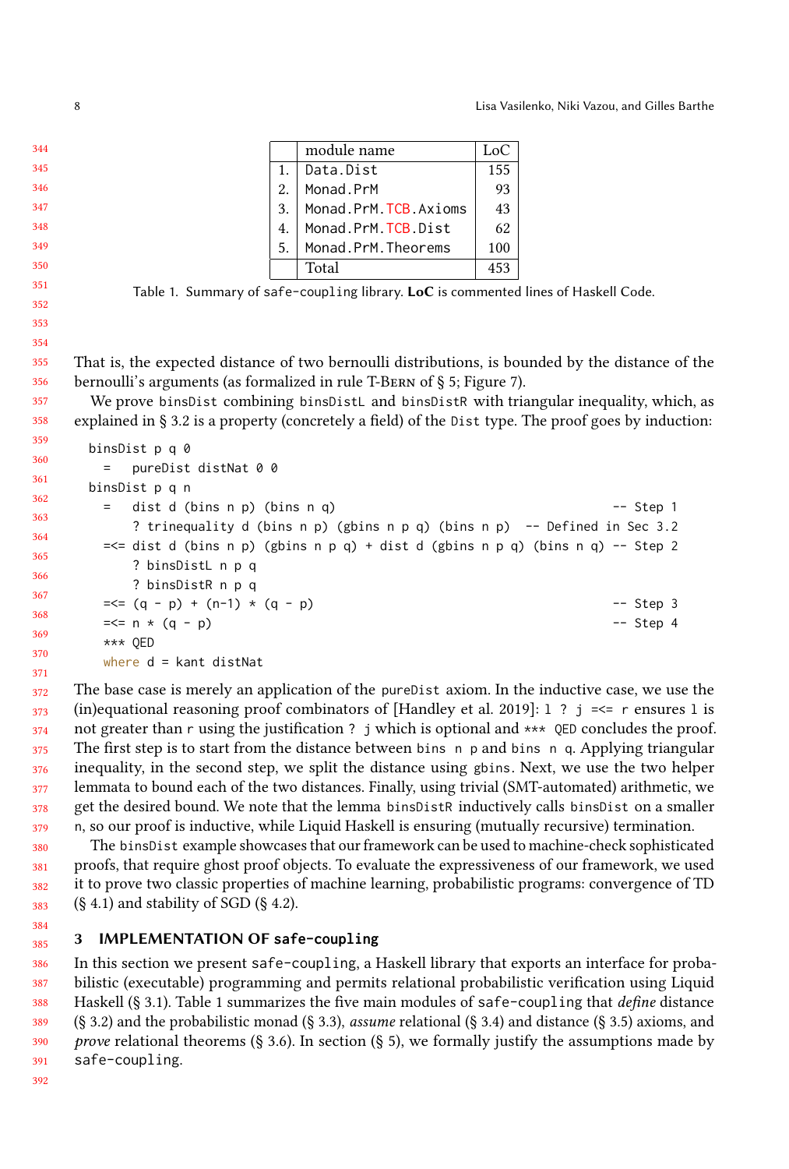|    | module name          | Loc <sub>0</sub> |
|----|----------------------|------------------|
| 1. | Data.Dist            | 155              |
| 2. | Monad.PrM            | 93               |
| 3. | Monad.PrM.TCB.Axioms | 43               |
| 4. | Monad.PrM.TCB.Dist   | 62               |
| 5. | Monad.PrM.Theorems   | 100              |
|    | Total                | 453              |

Table 1. Summary of safe-coupling library. LoC is commented lines of Haskell Code.

355 356 That is, the expected distance of two bernoulli distributions, is bounded by the distance of the bernoulli's arguments (as formalized in rule T-Bern of § [5;](#page-16-0) Figure [7\)](#page-19-0).

357 358 We prove binsDist combining binsDistL and binsDistR with triangular inequality, which, as explained in § [3.2](#page-9-0) is a property (concretely a field) of the Dist type. The proof goes by induction:

```
360
361
362
363
364
365
366
367
368
369
370
      binsDist p q 0
       = pureDist distNat 0 0
      binsDist p q n
       = dist d (bins n p) (bins n q) -- Step 1
           ? trinequality d (bins n p) (gbins n p q) (bins n p) -- Defined in Sec 3.2
       =<i>dist d</i> (bins n p) (gbins n p q) + dist d (gbins n p q) (bins n q) -- Step 2? binsDistL n p q
           ? binsDistR n p q
       =< (q - p) + (n-1) * (q - p) -- Step 3
       =\leq n * (q - p) -- Step 4
       *** QED
       where d = kant distNat
```
372 373 374 375 376 377 378 379 The base case is merely an application of the pureDist axiom. In the inductive case, we use the (in)equational reasoning proof combinators of [\[Handley et al.](#page-25-1) [2019\]](#page-25-1): 1 ? j =  $\le$  r ensures 1 is not greater than r using the justification ? j which is optional and \*\*\* QED concludes the proof. The first step is to start from the distance between bins n p and bins n q. Applying triangular inequality, in the second step, we split the distance using gbins. Next, we use the two helper lemmata to bound each of the two distances. Finally, using trivial (SMT-automated) arithmetic, we get the desired bound. We note that the lemma binsDistR inductively calls binsDist on a smaller n, so our proof is inductive, while Liquid Haskell is ensuring (mutually recursive) termination.

380 381 382 383 The binsDist example showcases that our framework can be used to machine-check sophisticated proofs, that require ghost proof objects. To evaluate the expressiveness of our framework, we used it to prove two classic properties of machine learning, probabilistic programs: convergence of TD  $(\S$  [4.1\)](#page-11-0) and stability of SGD  $(\S$  [4.2\)](#page-13-0).

#### <span id="page-7-0"></span>385 3 IMPLEMENTATION OF **safe-coupling**

386 387 388 389 390 391 In this section we present safe-coupling, a Haskell library that exports an interface for probabilistic (executable) programming and permits relational probabilistic verification using Liquid Haskell (§ [3.1\)](#page-8-0). Table [1](#page-7-1) summarizes the five main modules of safe-coupling that define distance (§ [3.2\)](#page-9-0) and the probabilistic monad (§ [3.3\)](#page-9-1), assume relational (§ [3.4\)](#page-10-0) and distance (§ [3.5\)](#page-10-1) axioms, and prove relational theorems (§ [3.6\)](#page-11-1). In section (§ [5\)](#page-16-0), we formally justify the assumptions made by safe-coupling.

<span id="page-7-1"></span>

359

371

384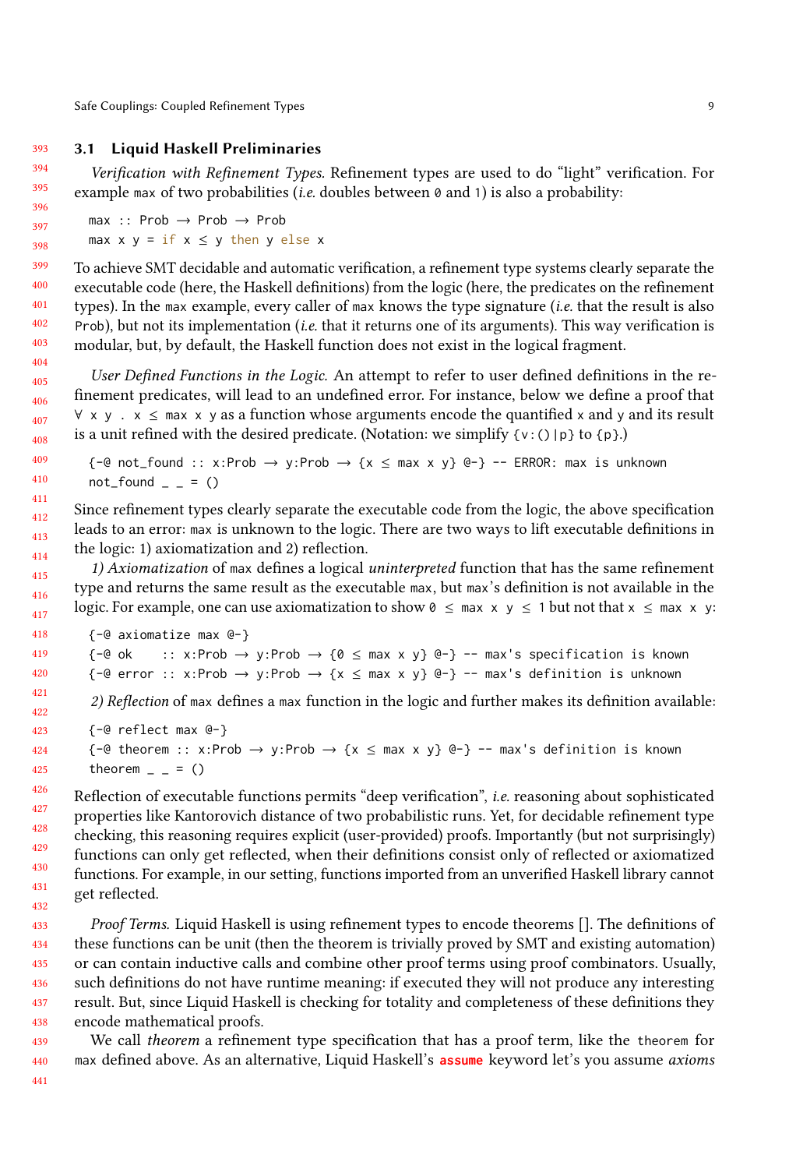#### 393 3.1 Liquid Haskell Preliminaries

<span id="page-8-0"></span>Verification with Refinement Types. Refinement types are used to do "light" verification. For example max of two probabilities (*i.e.* doubles between  $\theta$  and 1) is also a probability:

max :: Prob → Prob → Prob max  $x y = if x \le y$  then y else x

To achieve SMT decidable and automatic verification, a refinement type systems clearly separate the executable code (here, the Haskell definitions) from the logic (here, the predicates on the refinement types). In the max example, every caller of max knows the type signature (i.e. that the result is also Prob), but not its implementation (*i.e.* that it returns one of its arguments). This way verification is modular, but, by default, the Haskell function does not exist in the logical fragment.

User Defined Functions in the Logic. An attempt to refer to user defined definitions in the refinement predicates, will lead to an undefined error. For instance, below we define a proof that  $\forall x, y \in \mathbb{R}$  x  $\leq$  max x y as a function whose arguments encode the quantified x and y and its result is a unit refined with the desired predicate. (Notation: we simplify  $\{v: \text{ }(\) | p\}$  to  $\{p\}$ .)

 $\{-e \text{ not} \text{ found} :: x: \text{Prob} \rightarrow y: \text{Prob} \rightarrow \{x \leq \text{max } x \text{ y}\} \$  = - ERROR: max is unknown  $not_{found}$  =  $($ )

412 413 414 Since refinement types clearly separate the executable code from the logic, the above specification leads to an error: max is unknown to the logic. There are two ways to lift executable definitions in the logic: 1) axiomatization and 2) reflection.

415 416 417 1) Axiomatization of max defines a logical uninterpreted function that has the same refinement type and returns the same result as the executable max, but max's definition is not available in the logic. For example, one can use axiomatization to show  $0 \leq \text{max} \times y \leq 1$  but not that  $x \leq \text{max} \times y$ :

```
418
419
420
            {-@ axiomatize max @-}
            \{-e \text{ ok } :: x:\text{Prob } \to y:\text{Prob } \to \{0 \leq \max x \text{ y}\} \ -- \max's specification is known
            \{-\Theta \text{ error } :: x:\text{Prob } \to y:\text{Prob } \to \{x \leq \max x \text{ } y\} \text{ } \Theta-\} -- max's definition is unknown
```
2) Reflection of max defines a max function in the logic and further makes its definition available:

```
423
424
425
         {-@ reflect max @-}
         {-e} theorem :: x:Prob \rightarrow y:Prob \rightarrow {x \leq max x y} e-} -- max's definition is known
         theorem = = ()
```
Reflection of executable functions permits "deep verification", i.e. reasoning about sophisticated properties like Kantorovich distance of two probabilistic runs. Yet, for decidable refinement type checking, this reasoning requires explicit (user-provided) proofs. Importantly (but not surprisingly) functions can only get reflected, when their definitions consist only of reflected or axiomatized functions. For example, in our setting, functions imported from an unverified Haskell library cannot get reflected.

433 434 435 436 437 438 Proof Terms. Liquid Haskell is using refinement types to encode theorems []. The definitions of these functions can be unit (then the theorem is trivially proved by SMT and existing automation) or can contain inductive calls and combine other proof terms using proof combinators. Usually, such definitions do not have runtime meaning: if executed they will not produce any interesting result. But, since Liquid Haskell is checking for totality and completeness of these definitions they encode mathematical proofs.

We call theorem a refinement type specification that has a proof term, like the theorem for max defined above. As an alternative, Liquid Haskell's **assume** keyword let's you assume axioms

440 441

439

421 422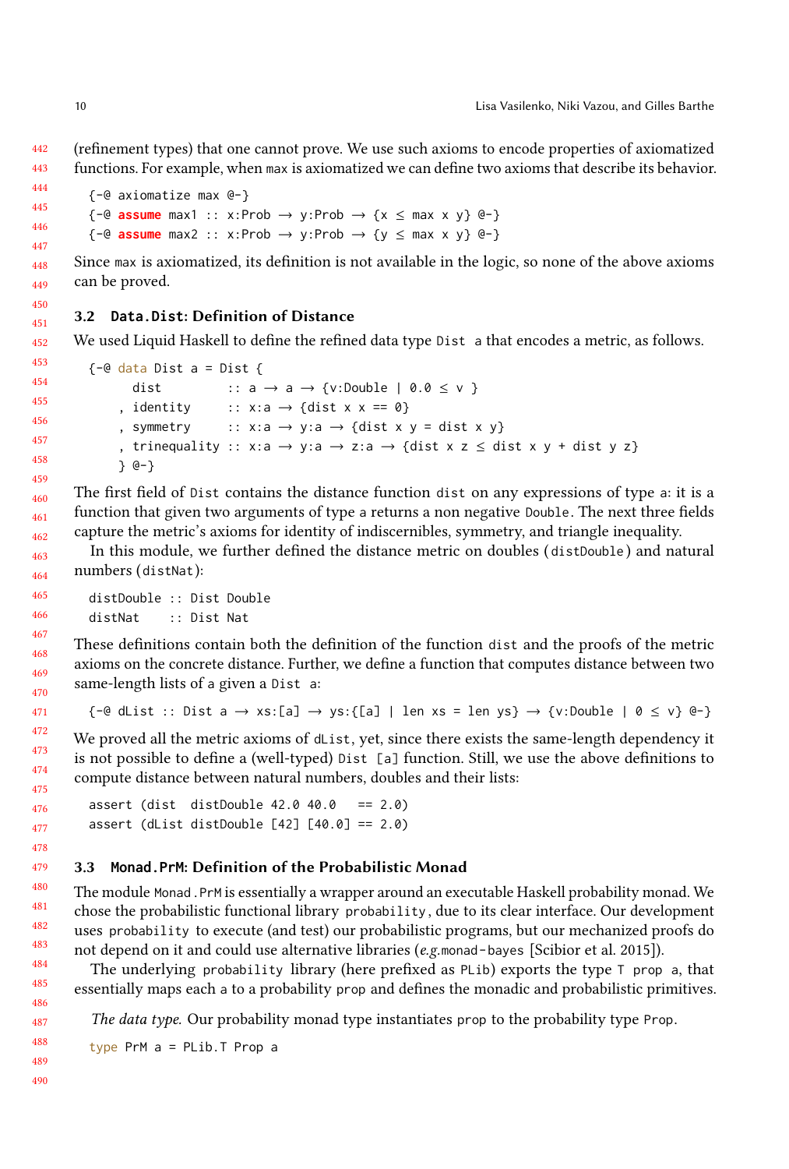442 443 (refinement types) that one cannot prove. We use such axioms to encode properties of axiomatized functions. For example, when max is axiomatized we can define two axioms that describe its behavior.

```
444
445
446
447
            {-@ axiomatize max @-}
            \{-@ \text{ assume } max1 :: x: Prob \rightarrow y: Prob \rightarrow \{x \leq max x y\} @\rightarrow\}\{-@ \text{ assume } max2 :: x: Prob \rightarrow y: Prob \rightarrow \{y \leq max x y\} @\{-} \}
```
448 449 Since max is axiomatized, its definition is not available in the logic, so none of the above axioms can be proved.

#### <span id="page-9-0"></span>451 3.2 **Data.Dist**: Definition of Distance

452 We used Liquid Haskell to define the refined data type Dist a that encodes a metric, as follows.

```
453
454
455
456
457
458
459
        \{-@data Dist a = Dist f\}dist :: a \rightarrow a \rightarrow \{v:Double \mid 0.0 \le v\}, identity :: x:a → {dist x x == 0}
             , symmetry :: x:a → y:a → {dist x y = dist x y}
             , trinequality :: x:a → y:a → z:a → {dist x z \leq dist x y + dist y z}
            } @-}
```
The first field of Dist contains the distance function dist on any expressions of type a: it is a function that given two arguments of type a returns a non negative Double. The next three fields capture the metric's axioms for identity of indiscernibles, symmetry, and triangle inequality.

In this module, we further defined the distance metric on doubles ( distDouble ) and natural numbers (distNat):

```
distDouble :: Dist Double
distNat :: Dist Nat
```
These definitions contain both the definition of the function dist and the proofs of the metric axioms on the concrete distance. Further, we define a function that computes distance between two same-length lists of a given a Dist a:

```
\{-\Theta \text{ } \text{dist} \text{ } : : \text{ Dist } \text{ } a \rightarrow \text{xs:} [\text{a}] \rightarrow \text{ys:} \{\text{ } [a] \text{ } | \text{ } len \text{ } \text{xs} = \text{ } len \text{ } \text{ys} \} \rightarrow \{\text{v:Double } | \text{ } \text{ } \text{0} \leq \text{ } \text{v} \} \text{ } \Theta\}
```
We proved all the metric axioms of dList, yet, since there exists the same-length dependency it is not possible to define a (well-typed) Dist [a] function. Still, we use the above definitions to compute distance between natural numbers, doubles and their lists:

```
assert (dist distDouble 42.0 40.0 == 2.0)
assert (dList distDouble [42] [40.0] == 2.0)
```
#### <span id="page-9-1"></span>3.3 **Monad.PrM**: Definition of the Probabilistic Monad

The module Monad.PrM is essentially a wrapper around an executable Haskell probability monad. We chose the probabilistic functional library probability , due to its clear interface. Our development uses probability to execute (and test) our probabilistic programs, but our mechanized proofs do not depend on it and could use alternative libraries (e.g.monad-bayes [\[Scibior et al. 2015\]](#page-26-6)).

The underlying probability library (here prefixed as  $PLib$ ) exports the type  $T$  prop a, that essentially maps each a to a probability prop and defines the monadic and probabilistic primitives.

The data type. Our probability monad type instantiates prop to the probability type Prop.

type PrM a = PLib.T Prop a

450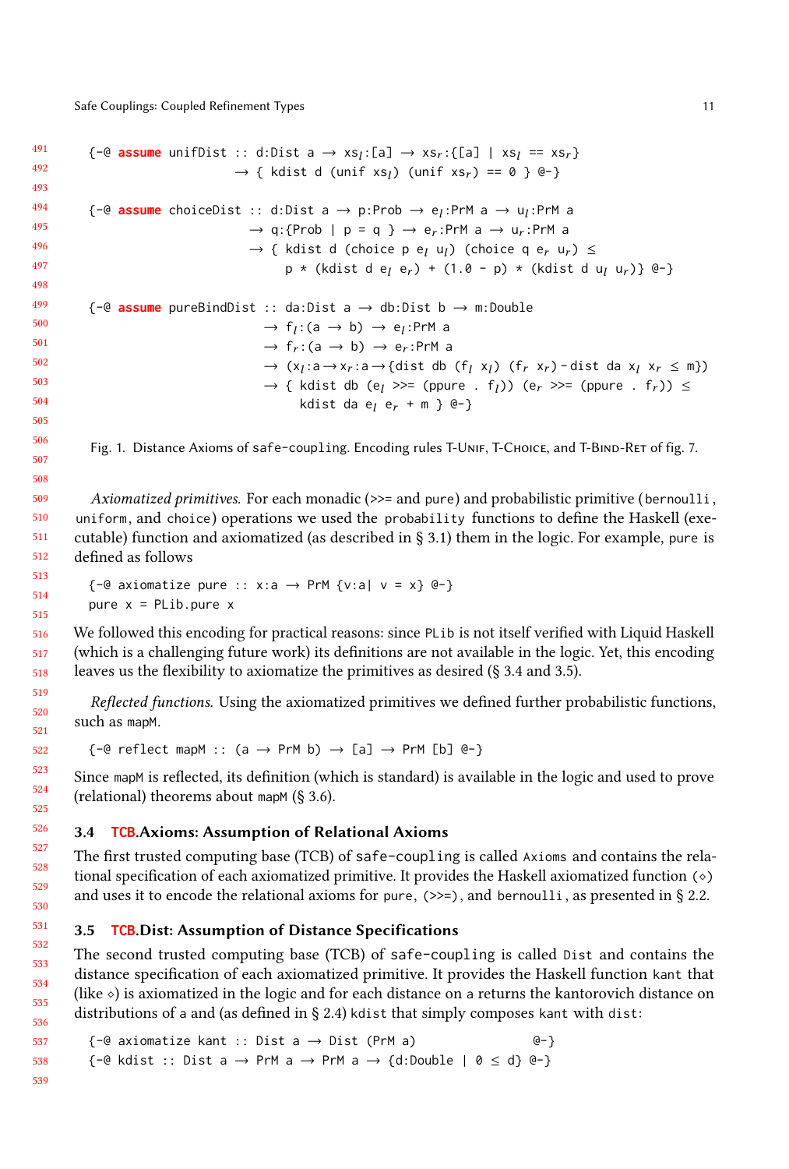<span id="page-10-2"></span>491 492 493 494 495 496 497 498 499 500 501 502 503 504 505  ${-\mathcal{C}}$  **assume** unifDist :: d:Dist a  $\rightarrow$  xs<sub>l</sub>:[a]  $\rightarrow$  xs<sub>l</sub>:[a] | xs<sub>l</sub> == xs<sub>r</sub>}<br>  $\rightarrow$  f kdist d (unif xs) (unif xs) == 0, 0, 0,  $\rightarrow$  { kdist d (unif xs<sub>l</sub>) (unif xs<sub>r</sub>) == 0 } @-}  ${-e}$  **assume** choiceDist :: d:Dist a  $\rightarrow$  p:Prob  $\rightarrow$  e<sub>l</sub>:PrM a  $\rightarrow$  u<sub>l</sub>:PrM a  $\rightarrow$  ultimate  $\rightarrow$  q:{Prob | p = q }  $\rightarrow$  e<sub>r</sub>:PrM a  $\rightarrow$  u<sub>r</sub>:PrM a  $\rightarrow$  { kdist d (choice p e<sub>l</sub> u<sub>l</sub>) (choice q e<sub>r</sub> u<sub>r</sub>)  $\leq$  $p * (kdist d e_l e_r) + (1.0 - p) * (kdist d u_l u_r)$ } @-} {-@ **assume** pureBindDist :: da:Dist a → db:Dist b → m:Double  $\rightarrow$  f<sub>l</sub>:(a  $\rightarrow$  b)  $\rightarrow$  e<sub>l</sub>:PrM a  $\rightarrow$  f<sub>r</sub>:(a  $\rightarrow$  b)  $\rightarrow$  e<sub>r</sub>:PrM a  $\rightarrow$  (x<sub>l</sub>:a→x<sub>r</sub>:a→{dist db (f<sub>l</sub> x<sub>l</sub>) (f<sub>r</sub> x<sub>r</sub>) - dist da x<sub>l</sub> x<sub>r</sub> ≤ m})  $\rightarrow$  { kdist db (e<sub>l</sub> >>= (ppure . f<sub>l</sub>)) (e<sub>r</sub> >>= (ppure . f<sub>r</sub>)) ≤ kdist da e<sub>l</sub> e<sub>r</sub> + m } @-}

Fig. 1. Distance Axioms of safe-coupling. Encoding rules T-UNIF, T-CHOICE, and T-BIND-RET of fig. [7.](#page-19-0)

Axiomatized primitives. For each monadic (>>= and pure) and probabilistic primitive (bernoulli, uniform, and choice) operations we used the probability functions to define the Haskell (executable) function and axiomatized (as described in § [3.1\)](#page-8-0) them in the logic. For example, pure is defined as follows

```
\{-@ axiomatize pure :: x:a \rightarrow PrM \{v : a \mid v = x\} @-}
pure x = PLib.pure x
```
We followed this encoding for practical reasons: since PLib is not itself verified with Liquid Haskell (which is a challenging future work) its definitions are not available in the logic. Yet, this encoding leaves us the flexibility to axiomatize the primitives as desired (§ [3.4](#page-10-0) and [3.5\)](#page-10-1).

Reflected functions. Using the axiomatized primitives we defined further probabilistic functions, such as mapM.

 $\{-@ \text{ reflect mapM} :: (a \rightarrow PrM b) \rightarrow [a] \rightarrow PrM [b] @-\}$ 

Since mapM is reflected, its definition (which is standard) is available in the logic and used to prove (relational) theorems about mapM (§ [3.6\)](#page-11-1).

### <span id="page-10-0"></span>3.4 **TCB**.Axioms: Assumption of Relational Axioms

The first trusted computing base (TCB) of safe-coupling is called Axioms and contains the relational specification of each axiomatized primitive. It provides the Haskell axiomatized function (⋄) and uses it to encode the relational axioms for pure,  $(\gg=)$ , and bernoulli, as presented in § [2.2.](#page-3-0)

### <span id="page-10-1"></span>3.5 **TCB**.Dist: Assumption of Distance Specifications

The second trusted computing base (TCB) of safe-coupling is called Dist and contains the distance specification of each axiomatized primitive. It provides the Haskell function kant that (like  $\circ$ ) is axiomatized in the logic and for each distance on a returns the kantorovich distance on distributions of a and (as defined in § [2.4\)](#page-5-0) kdist that simply composes kant with dist:

```
\{-@ axiomatize kant :: Dist a \rightarrow Dist (PrM a) @-\}\{-@ kdist :: Dist a \rightarrow PrM a \rightarrow PrM a \rightarrow \{d:Double \mid 0 \leq d\} @\}
```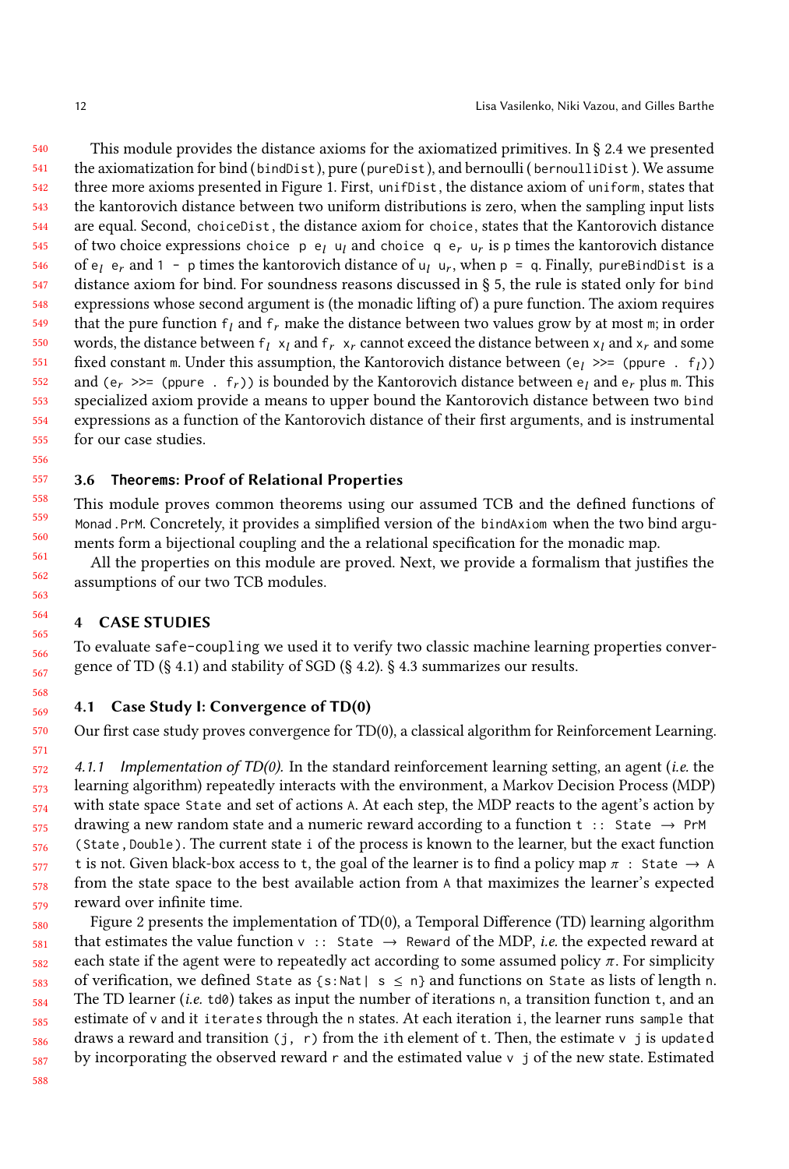540 541 542 543 544 545 546 547 548 549 550 551 552 553 554 555 This module provides the distance axioms for the axiomatized primitives. In § [2.4](#page-5-0) we presented the axiomatization for bind (bindDist), pure (pureDist), and bernoulli (bernoulliDist). We assume three more axioms presented in Figure [1.](#page-10-2) First, unifDist, the distance axiom of uniform, states that the kantorovich distance between two uniform distributions is zero, when the sampling input lists are equal. Second, choiceDist , the distance axiom for choice, states that the Kantorovich distance of two choice expressions choice  $p \cdot e_l$  u<sub>l</sub> and choice q  $e_r$  u<sub>r</sub> is p times the kantorovich distance of  $e_l$  e<sub>r</sub> and 1 - p times the kantorovich distance of  $u_l$  u<sub>r</sub>, when p = q. Finally, pureBindDist is a distance axiom for bind. For soundness reasons discussed in § [5,](#page-16-0) the rule is stated only for bind expressions whose second argument is (the monadic lifting of) a pure function. The axiom requires that the pure function  $f_l$  and  $f_r$  make the distance between two values grow by at most m; in order words, the distance between  $f_l x_l$  and  $f_r x_r$  cannot exceed the distance between  $x_l$  and  $x_r$  and some fixed constant m. Under this assumption, the Kantorovich distance between  $(e_1 \gg)=(pure f_1)$ and (e<sub>r</sub> >>= (ppure . f<sub>r</sub>)) is bounded by the Kantorovich distance between e<sub>l</sub> and e<sub>r</sub> plus m. This specialized axiom provide a means to upper bound the Kantorovich distance between two bind expressions as a function of the Kantorovich distance of their first arguments, and is instrumental for our case studies.

#### <span id="page-11-1"></span>3.6 **Theorems**: Proof of Relational Properties

This module proves common theorems using our assumed TCB and the defined functions of Monad.PrM. Concretely, it provides a simplified version of the bindAxiom when the two bind arguments form a bijectional coupling and the a relational specification for the monadic map.

All the properties on this module are proved. Next, we provide a formalism that justifies the assumptions of our two TCB modules.

### **CASE STUDIES**

To evaluate safe-coupling we used it to verify two classic machine learning properties convergence of TD (§ [4.1\)](#page-11-0) and stability of SGD (§ [4.2\)](#page-13-0). § [4.3](#page-16-1) summarizes our results.

### <span id="page-11-0"></span>4.1 Case Study I: Convergence of TD(0)

Our first case study proves convergence for TD(0), a classical algorithm for Reinforcement Learning.

572 573 574 575 576 577 578 579 4.1.1 Implementation of  $TD(0)$ . In the standard reinforcement learning setting, an agent (*i.e.* the learning algorithm) repeatedly interacts with the environment, a Markov Decision Process (MDP) with state space State and set of actions A. At each step, the MDP reacts to the agent's action by drawing a new random state and a numeric reward according to a function  $t : :$  State  $\rightarrow$  PrM (State, Double ). The current state i of the process is known to the learner, but the exact function t is not. Given black-box access to t, the goal of the learner is to find a policy map  $\pi$ : State  $\rightarrow$  A from the state space to the best available action from A that maximizes the learner's expected reward over infinite time.

580 581 582 583 584 585 586 587 Figure [2](#page-12-0) presents the implementation of TD(0), a Temporal Difference (TD) learning algorithm that estimates the value function  $v :$ : State  $\rightarrow$  Reward of the MDP, *i.e.* the expected reward at each state if the agent were to repeatedly act according to some assumed policy  $\pi$ . For simplicity of verification, we defined State as  $\{s: Nat \mid s \le n\}$  and functions on State as lists of length n. The TD learner (*i.e.* td0) takes as input the number of iterations n, a transition function t, and an estimate of v and it iterates through the n states. At each iteration i, the learner runs sample that draws a reward and transition (j, r) from the ith element of t. Then, the estimate v j is updated by incorporating the observed reward r and the estimated value  $v_j$  of the new state. Estimated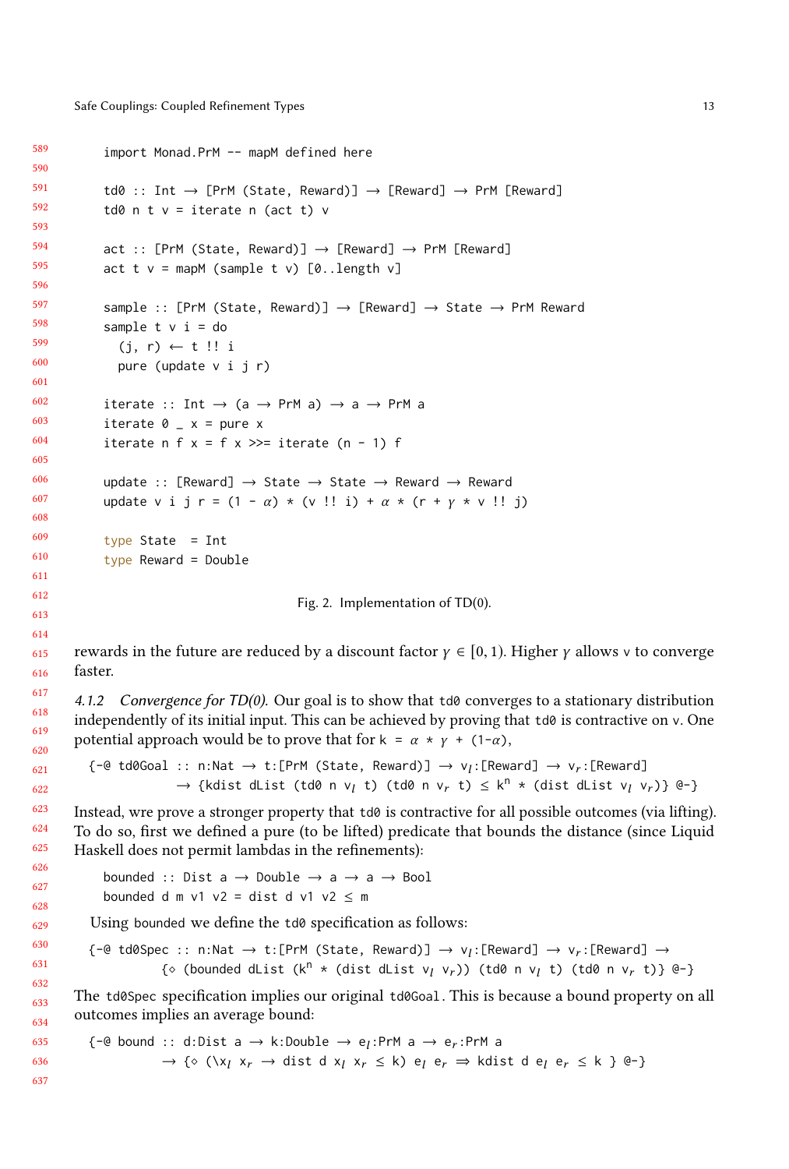```
589
590
591
592
593
594
595
596
597
598
599
600
601
602
603
604
605
606
607
608
609
610
611
612
613
614
615
616
617
618
619
620
621
622
623
624
625
626
627
628
629
630
631
632
633
634
635
636
637
              import Monad.PrM -- mapM defined here
              td0 :: Int \rightarrow [PrM (State, Reward)] \rightarrow [Reward] \rightarrow PrM [Reward]
              td0 n t v = iterate n (act t) vact :: [PrM (State, Reward)] \rightarrow [Reward] \rightarrow PrM [Reward]act t v = \text{mapM} (sample t v) [0..length v]sample :: [PrM (State, Reward)] \rightarrow [Reward] \rightarrow State \rightarrow PrM Reward
              sample t \vee i = do(j, r) \leftarrow t !! i
                 pure (update v i j r)
              iterate :: Int \rightarrow (a \rightarrow PrM a) \rightarrow a \rightarrow PrM a
              iterate 0 - x = pure xiterate n f x = f x \gg= iterate (n - 1) f
              update :: [Reward] \rightarrow State \rightarrow State \rightarrow Reward \rightarrow Reward
              update v i j r = (1 - \alpha) * (v!! i) + \alpha * (r + \gamma * v!! j)type State = Int
              type Reward = Double
                                                     Fig. 2. Implementation of TD(0).
        rewards in the future are reduced by a discount factor \gamma \in [0, 1). Higher \gamma allows v to converge
        faster.
        4.1.2 Convergence for TD(0). Our goal is to show that td0 converges to a stationary distribution
        independently of its initial input. This can be achieved by proving that \text{td}\theta is contractive on v. One
        potential approach would be to prove that for k = \alpha * \gamma + (1-\alpha),
           {-e \cdot t} td0Goal :: n:Nat \rightarrow t:[PrM (State, Reward)] \rightarrow v_l:[Reward] \rightarrow v_r:[Reward]<br>
s fledist dlist (td0 n y, t) (td0 n y, t) \leq k^n + (dist dlist y, y
                             \rightarrow {kdist dList (td0 n v<sub>l</sub> t) (td0 n v<sub>r</sub> t) \leq k<sup>n</sup> * (dist dList v<sub>l</sub> v<sub>r</sub>)} @-}
        Instead, wre prove a stronger property that td0 is contractive for all possible outcomes (via lifting).
        To do so, first we defined a pure (to be lifted) predicate that bounds the distance (since Liquid
        Haskell does not permit lambdas in the refinements):
              bounded :: Dist a \rightarrow Double \rightarrow a \rightarrow a \rightarrow Bool
              bounded d m v1 v2 = dist d v1 v2 \le m
           Using bounded we define the td0 specification as follows:
           {-e td0Spec :: n:Nat \rightarrow t:[PrM (State, Reward)] \rightarrow v<sub>l</sub>:[Reward] \rightarrow v<sub>r</sub>:[Reward] \rightarrow (a channeled dliet (kn + client dliet vs x)) (td0 n x +))
                          {◇ (bounded dList (k^n * (dist dList v<sub>l</sub> v<sub>r</sub>)) (td0 n v<sub>l</sub> t) (td0 n v<sub>r</sub> t)} @-}
        The td0Spec specification implies our original td0Goal. This is because a bound property on all
        outcomes implies an average bound:
           {-e} bound :: d:Dist a \rightarrow k:Double \rightarrow e<sub>l</sub>:PrM a \rightarrow e<sub>r</sub>:PrM a
                          \rightarrow \{\circ (\forall x_1 \ x_r \rightarrow \text{dist d} \ x_l \ x_r \leq k) \ e_l \ e_r \Rightarrow \text{kdist d} \ e_l \ e_r \leq k \ \} \ \textcircled{e}
```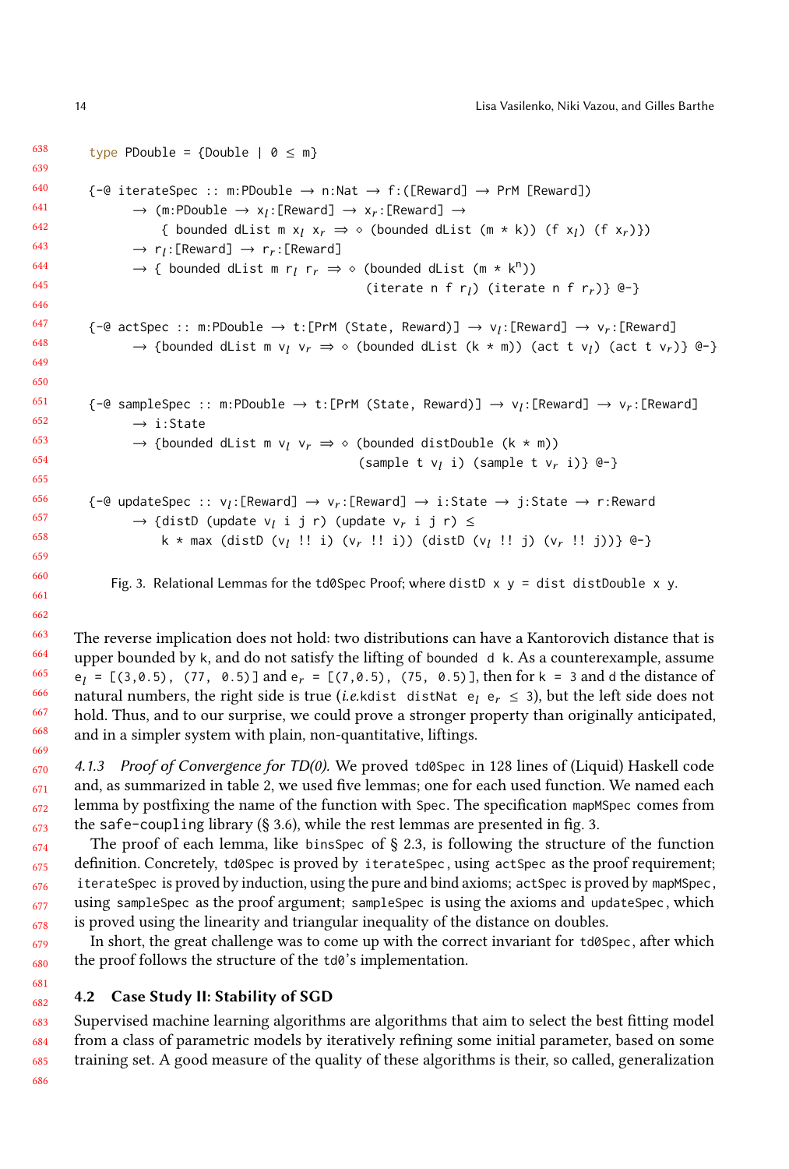638 639 640 641 642 643 644 645 646 647 648 649 650 651 652 653 654 655 656 657 658 659 660 type PDouble = {Double |  $0 \le m$ }  $\{-e$  iterateSpec :: m:PDouble  $\rightarrow$  n:Nat  $\rightarrow$  f:([Reward]  $\rightarrow$  PrM [Reward])  $\rightarrow$  (m:PDouble  $\rightarrow$  x<sub>l</sub>:[Reward]  $\rightarrow$  x<sub>r</sub> :[Reward]  $\rightarrow$ { bounded dList m  $x_l$   $x_r \Rightarrow \diamond$  (bounded dList (m \* k)) (f  $x_l$ ) (f  $x_r$ )})  $\rightarrow r_l :$ [Reward]  $\rightarrow r_r :$ [Reward] → { bounded dList m r<sub>l</sub> r<sub>r</sub> ⇒  $\diamond$  (bounded dList (m  $*$  k<sup>n</sup>))<br>(iterate n f r.) (iterat (iterate n f  $r_l$ ) (iterate n f  $r_r$ )} @-}  ${-\omega}$  actSpec :: m:PDouble  $\rightarrow$  t:[PrM (State, Reward)]  $\rightarrow v_i$ :[Reward]  $\rightarrow v_r$ :[Reward]<br>  $\rightarrow$  (bounded dist m )  $\rightarrow \omega$  (bounded dist (k m)) (est t )) (est t ))  $\rightarrow$  {bounded dList m v<sub>l</sub> v<sub>r</sub>  $\Rightarrow$   $\diamond$  (bounded dList (k \* m)) (act t v<sub>l</sub>) (act t v<sub>r</sub>)} @-}  ${-\omega}$  sampleSpec :: m:PDouble  $\rightarrow$  t:[PrM (State, Reward)]  $\rightarrow$   $v_l$ :[Reward]  $\rightarrow$   $v_r$ :[Reward]  $\rightarrow$  i:State → {bounded dList m v<sub>l</sub> v<sub>r</sub>  $\Rightarrow \diamond$  (bounded distDouble (k \* m)) (sample t  $v_l$  i) (sample t  $v_r$  i)} @-} {-@ updateSpec :: v<sub>l</sub>:[Reward] → v<sub>r</sub>:[Reward] → i:State → j:State → r:Reward]  $\rightarrow$  {distD (update v<sub>l</sub> i j r) (update v<sub>r</sub> i j r)  $\leq$ k \* max (distD (v<sub>l</sub> !! i) (v<sub>r</sub> !! i)) (distD (v<sub>l</sub> !! j) (v<sub>r</sub> !! j))} @-}

Fig. 3. Relational Lemmas for the td0Spec Proof; where distD  $x$  y = dist distDouble x y.

The reverse implication does not hold: two distributions can have a Kantorovich distance that is upper bounded by k, and do not satisfy the lifting of bounded d k. As a counterexample, assume  $e_l = [(3, 0.5), (77, 0.5)]$  and  $e_r = [(7, 0.5), (75, 0.5)]$ , then for  $k = 3$  and d the distance of notivel numbers the right side is true (i.e. kitchet distance  $(2, 0.5)$ ) but the left side does not natural numbers, the right side is true (*i.e.kdist distNat e<sub>l</sub>* e<sub>r</sub>  $\leq$  3), but the left side does not hold. Thus, and to our surprise, we could prove a stronger property than originally anticipated, and in a simpler system with plain, non-quantitative, liftings.

4.1.3 Proof of Convergence for TD(0). We proved td0Spec in 128 lines of (Liquid) Haskell code and, as summarized in table [2,](#page-16-2) we used five lemmas; one for each used function. We named each lemma by postfixing the name of the function with Spec. The specification mapMSpec comes from the safe-coupling library  $(§ 3.6)$  $(§ 3.6)$ , while the rest lemmas are presented in fig. [3.](#page-13-1)

The proof of each lemma, like bins Spec of  $\S$  [2.3,](#page-4-0) is following the structure of the function definition. Concretely, td0Spec is proved by iterateSpec , using actSpec as the proof requirement; iterateSpec is proved by induction, using the pure and bind axioms; actSpec is proved by mapMSpec, using sampleSpec as the proof argument; sampleSpec is using the axioms and updateSpec , which is proved using the linearity and triangular inequality of the distance on doubles.

In short, the great challenge was to come up with the correct invariant for td0Spec, after which the proof follows the structure of the td0's implementation.

#### <span id="page-13-0"></span>682 4.2 Case Study II: Stability of SGD

683 684 685 Supervised machine learning algorithms are algorithms that aim to select the best fitting model from a class of parametric models by iteratively refining some initial parameter, based on some training set. A good measure of the quality of these algorithms is their, so called, generalization

686

<span id="page-13-1"></span>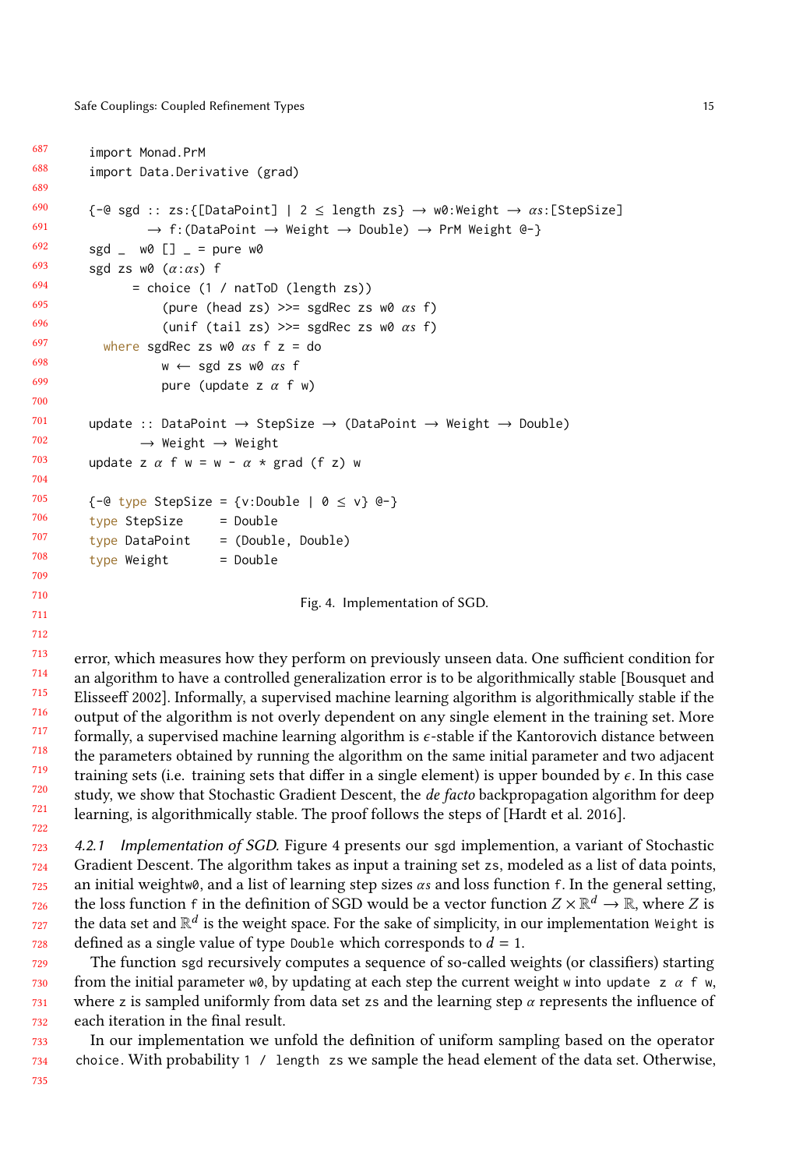```
687
688
689
690
691
692
693
694
695
696
697
698
699
700
701
702
703
704
705
706
707
708
709
710
711
712
713
714
715
           import Monad.PrM
           import Data.Derivative (grad)
           \{-\Theta \text{ sgd} : z \text{ss:}\{\text{[DataPoint]} \mid 2 \le \text{length } z \text{s}\} \rightarrow \text{w0:Weight } \rightarrow \alpha \text{s:}\text{[StepSize]}\rightarrow f:(DataPoint \rightarrow Weight \rightarrow Double) \rightarrow PrM Weight @-}
           sgd \angle w0 \begin{bmatrix} 1 \\ -1 \end{bmatrix} = pure w0
           sgd zs w0 (\alpha:\alpha s) f
                   = choice (1 / natToD (length zs))
                         (pure (head zs) \gg= sgdRec zs w0 \alphas f)
                         (unif (tail zs) \gg= sgdRec zs w0 \alphas f)
             where sgdRec zs w0 \alpha s f z = do
                         w \leftarrow sgd zs w0 \alpha s f
                         pure (update z \alpha f w)
           update :: DataPoint \rightarrow StepSize \rightarrow (DataPoint \rightarrow Weight \rightarrow Double)
                     \rightarrow Weight \rightarrow Weight
           update z \alpha f w = w - \alpha * grad (f z) w
           \{-@type StepSize = \{v:Double \mid @\leq v\} @\}type StepSize = Double
           type DataPoint = (Double, Double)
           type Weight = DoubleFig. 4. Implementation of SGD.
        error, which measures how they perform on previously unseen data. One sufficient condition for
```
716 717 718 719 720 721 722 an algorithm to have a controlled generalization error is to be algorithmically stable [\[Bousquet and](#page-25-7) [Elisseeff 2002\]](#page-25-7). Informally, a supervised machine learning algorithm is algorithmically stable if the output of the algorithm is not overly dependent on any single element in the training set. More formally, a supervised machine learning algorithm is ϵ-stable if the Kantorovich distance between the parameters obtained by running the algorithm on the same initial parameter and two adjacent training sets (i.e. training sets that differ in a single element) is upper bounded by  $\epsilon$ . In this case study, we show that Stochastic Gradient Descent, the *de facto* backpropagation algorithm for deep learning, is algorithmically stable. The proof follows the steps of [\[Hardt et al. 2016\]](#page-25-8).

723 724 725 726 727 728 4.2.1 Implementation of SGD. Figure [4](#page-14-0) presents our sgd implemention, a variant of Stochastic Gradient Descent. The algorithm takes as input a training set zs, modeled as a list of data points, an initial weightw0, and a list of learning step sizes  $\alpha s$  and loss function f. In the general setting, the loss function f in the definition of SGD would be a vector function  $Z \times \mathbb{R}^d \to \mathbb{R}$ , where Z is the data set and  $\mathbb{R}^d$  is the weight space. For the sake of simplicity in our implementation Weight, is the data set and  $\mathbb{R}^d$  is the weight space. For the sake of simplicity, in our implementation Weight is defined as a single value of type Double which corresponds to  $d = 1$ .

729 730 731 732 The function sgd recursively computes a sequence of so-called weights (or classifiers) starting from the initial parameter w0, by updating at each step the current weight w into update z  $\alpha$  f w, where z is sampled uniformly from data set zs and the learning step  $\alpha$  represents the influence of each iteration in the final result.

733 734 In our implementation we unfold the definition of uniform sampling based on the operator choice. With probability 1 / length zs we sample the head element of the data set. Otherwise,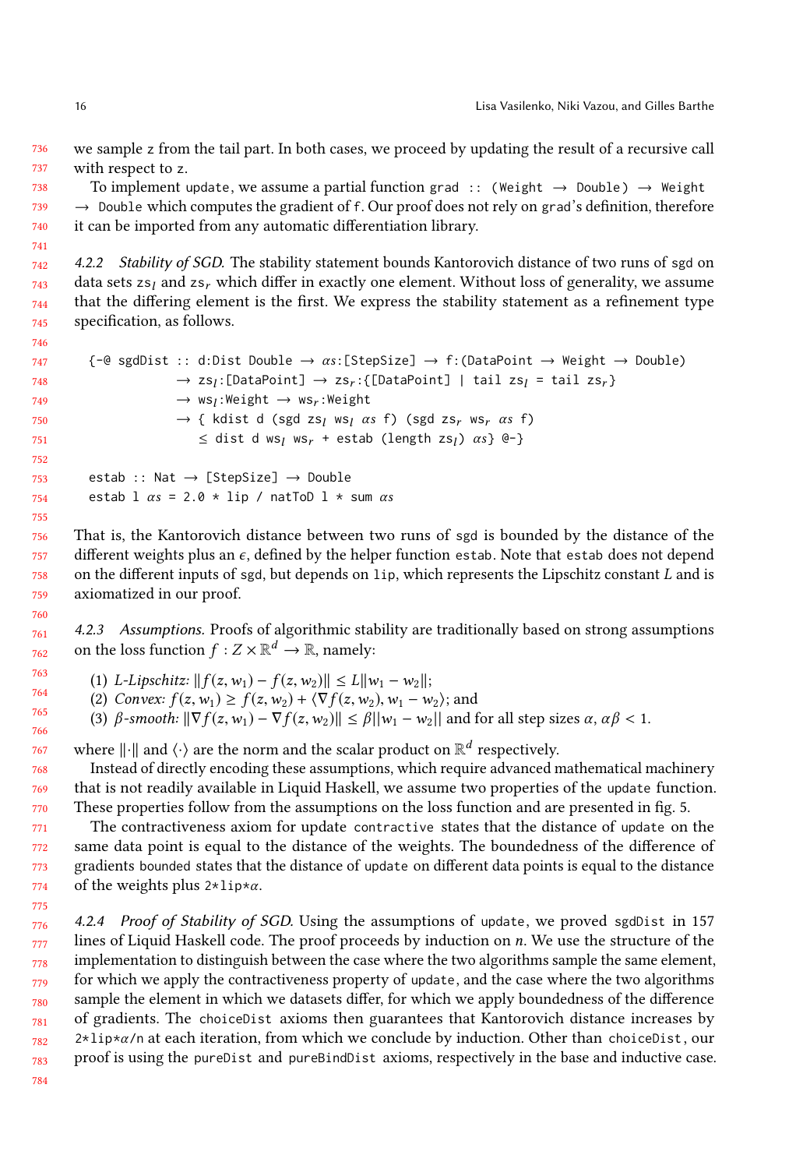736 737 we sample z from the tail part. In both cases, we proceed by updating the result of a recursive call with respect to z.

738 739 740 To implement update, we assume a partial function grad :: (Weight  $\rightarrow$  Double)  $\rightarrow$  Weight  $\rightarrow$  Double which computes the gradient of f. Our proof does not rely on grad's definition, therefore it can be imported from any automatic differentiation library.

742 743 744 745 4.2.2 Stability of SGD. The stability statement bounds Kantorovich distance of two runs of sgd on data sets zs<sub>I</sub> and zs<sub>r</sub> which differ in exactly one element. Without loss of generality, we assume that the differing element is the first. We express the stability statement as a refinement type specification, as follows.

```
747
748
749
750
751
752
753
754
                \{-\mathbb{C}\}\ sgdDist :: d:Dist Double \rightarrow \alpha s: [StepSize] \rightarrow f: (DataPoint \rightarrow Weight \rightarrow Double)
                                         \rightarrow zs<sub>l</sub>:[DataPoint] \rightarrow zs<sub>r</sub> :{[DataPoint] | tail zs<sub>l</sub> = tail zs<sub>r</sub>}<br>>> weakled that a weakled into
                                         \rightarrow ws<sub>l</sub>:Weight \rightarrow ws<sub>r</sub>:Weight
                                         \rightarrow { kdist d (sgd zs<sub>l</sub> ws<sub>l</sub> \alphas f) (sgd zs<sub>r</sub> ws<sub>r</sub> \alphas f)
                                               \leq dist d ws<sub>l</sub> ws<sub>r</sub> + estab (length zs<sub>l</sub>) \alpha s} @-}
                estab :: Nat \rightarrow [StepSize] \rightarrow Double
                estab \frac{1}{2} \alpha s = 2.0 * \text{lip} / natToD \frac{1}{2} * \text{sum} \alpha s
```
756 758 759 That is, the Kantorovich distance between two runs of sgd is bounded by the distance of the different weights plus an  $\epsilon$ , defined by the helper function estab. Note that estab does not depend on the different inputs of sgd, but depends on lip, which represents the Lipschitz constant L and is axiomatized in our proof.

4.2.3 Assumptions. Proofs of algorithmic stability are traditionally based on strong assumptions on the loss function  $f: Z \times \mathbb{R}^d \to \mathbb{R}$ , namely:

- (1) L-Lipschitz:  $|| f(z, w_1) f(z, w_2) || \le L ||w_1 w_2||$ ;
- (2) Convex:  $f(z, w_1) \ge f(z, w_2) + \langle \nabla f(z, w_2), w_1 w_2 \rangle$ ; and
- (3)  $\beta$ -smooth:  $\|\nabla f(z,w_1) \nabla f(z,w_2)\| \leq \beta ||w_1 w_2||$  and for all step sizes  $\alpha, \alpha \beta < 1$ .

where  $\lVert \cdot \rVert$  and  $\langle \cdot \rangle$  are the norm and the scalar product on  $\mathbb{R}^d$  respectively.

Instead of directly encoding these assumptions, which require advanced mathematical machinery that is not readily available in Liquid Haskell, we assume two properties of the update function. These properties follow from the assumptions on the loss function and are presented in fig. [5.](#page-16-3)

771 772 773 774 The contractiveness axiom for update contractive states that the distance of update on the same data point is equal to the distance of the weights. The boundedness of the difference of gradients bounded states that the distance of update on different data points is equal to the distance of the weights plus  $2 \times \text{lip} \times \alpha$ .

776 777 778 779 780 781 782 783 4.2.4 Proof of Stability of SGD. Using the assumptions of update, we proved sgdDist in 157 lines of Liquid Haskell code. The proof proceeds by induction on n. We use the structure of the implementation to distinguish between the case where the two algorithms sample the same element, for which we apply the contractiveness property of update, and the case where the two algorithms sample the element in which we datasets differ, for which we apply boundedness of the difference of gradients. The choiceDist axioms then guarantees that Kantorovich distance increases by  $2 \times 1$ ip $\star \alpha$ /n at each iteration, from which we conclude by induction. Other than choiceDist, our proof is using the pureDist and pureBindDist axioms, respectively in the base and inductive case.

741

746

755

757

775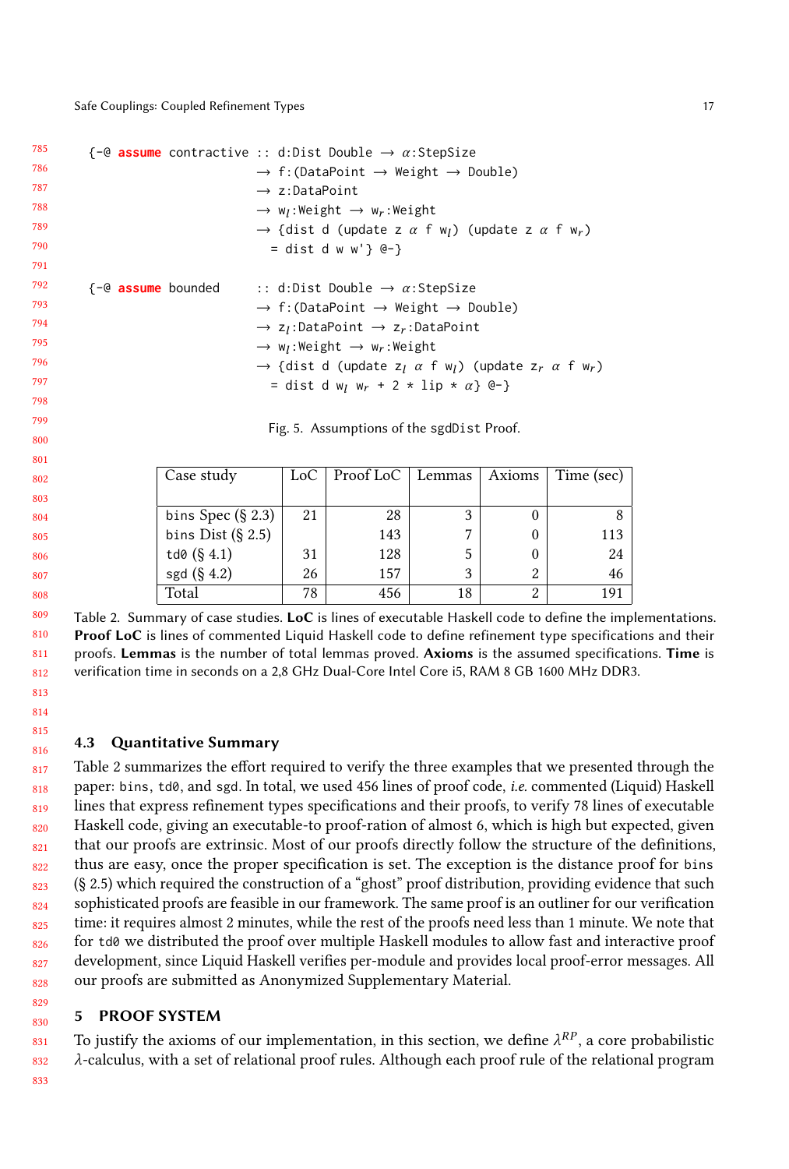<span id="page-16-3"></span>

| 785 |                       | $\{-@$ assume contractive :: d:Dist Double $\rightarrow \alpha$ :StepSize                                                   |
|-----|-----------------------|-----------------------------------------------------------------------------------------------------------------------------|
| 786 |                       | $\rightarrow$ f: (DataPoint $\rightarrow$ Weight $\rightarrow$ Double)                                                      |
| 787 |                       | $\rightarrow$ z:DataPoint                                                                                                   |
| 788 |                       | $\rightarrow$ w <sub>1</sub> :Weight $\rightarrow$ w <sub>r</sub> :Weight                                                   |
| 789 |                       | $\rightarrow$ {dist d (update z $\alpha$ f w <sub>i</sub> ) (update z $\alpha$ f w <sub>r</sub> )                           |
| 790 |                       | = dist d w w'} $($ e-}                                                                                                      |
| 791 |                       |                                                                                                                             |
| 792 | $\{-@$ assume bounded | :: d:Dist Double $\rightarrow \alpha$ :StepSize                                                                             |
| 793 |                       | $\rightarrow$ f: (DataPoint $\rightarrow$ Weight $\rightarrow$ Double)                                                      |
| 794 |                       | $\rightarrow$ z <sub>1</sub> :DataPoint $\rightarrow$ z <sub>r</sub> :DataPoint                                             |
| 795 |                       | $\rightarrow$ w <sub>1</sub> :Weight $\rightarrow$ w <sub>r</sub> :Weight                                                   |
| 796 |                       | $\rightarrow$ {dist d (update z <sub>1</sub> $\alpha$ f w <sub>1</sub> ) (update z <sub>r</sub> $\alpha$ f w <sub>r</sub> ) |
| 797 |                       | = dist d w <sub>1</sub> w <sub>r</sub> + 2 * lip * $\alpha$ } @-}                                                           |
| 798 |                       |                                                                                                                             |

Fig. 5. Assumptions of the sgdDist Proof.

<span id="page-16-2"></span>

| Case study           | LoC . | Proof LoC $\vert$ | Lemmas | Axioms | Time (sec) $ $ |
|----------------------|-------|-------------------|--------|--------|----------------|
|                      |       |                   |        |        |                |
| bins Spec $(\S 2.3)$ | 21    | 28                | 3      |        |                |
| bins Dist $(\S 2.5)$ |       | 143               |        |        | 113            |
| td0 $(\S 4.1)$       | 31    | 128               | 5      |        | 24             |
| sgd $(\S 4.2)$       | 26    | 157               | 3      | 2      | 46             |
| Total                | 78    | 456               | 18     | 2      |                |

809 810 811 812 Table 2. Summary of case studies. LoC is lines of executable Haskell code to define the implementations. Proof LoC is lines of commented Liquid Haskell code to define refinement type specifications and their proofs. Lemmas is the number of total lemmas proved. Axioms is the assumed specifications. Time is verification time in seconds on a 2,8 GHz Dual-Core Intel Core i5, RAM 8 GB 1600 MHz DDR3.

### <span id="page-16-1"></span>4.3 Quantitative Summary

817 818 81<sup>c</sup> 820 821 822 823 824 825 826 827 828 Table [2](#page-16-2) summarizes the effort required to verify the three examples that we presented through the paper: bins, td0, and sgd. In total, we used 456 lines of proof code, i.e. commented (Liquid) Haskell lines that express refinement types specifications and their proofs, to verify 78 lines of executable Haskell code, giving an executable-to proof-ration of almost 6, which is high but expected, given that our proofs are extrinsic. Most of our proofs directly follow the structure of the definitions, thus are easy, once the proper specification is set. The exception is the distance proof for bins (§ [2.5\)](#page-6-0) which required the construction of a "ghost" proof distribution, providing evidence that such sophisticated proofs are feasible in our framework. The same proof is an outliner for our verification time: it requires almost 2 minutes, while the rest of the proofs need less than 1 minute. We note that for td0 we distributed the proof over multiple Haskell modules to allow fast and interactive proof development, since Liquid Haskell verifies per-module and provides local proof-error messages. All our proofs are submitted as Anonymized Supplementary Material.

### <span id="page-16-0"></span>PROOF SYSTEM

831 832 To justify the axioms of our implementation, in this section, we define  $\lambda^{RP}$ , a core probabilistic  $\lambda$ -calculus, with a set of relational proof rules. Although each proof rule of the relational program λ-calculus, with a set of relational proof rules. Although each proof rule of the relational program

833

829 830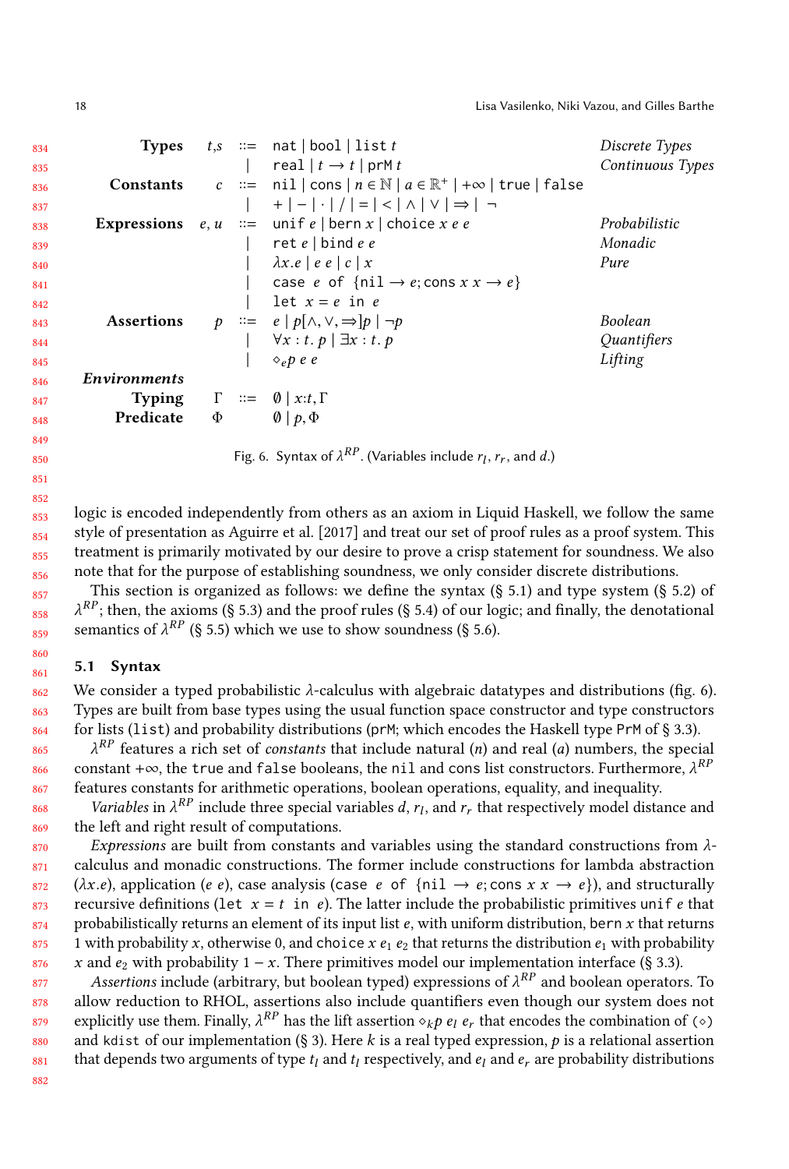<span id="page-17-1"></span>

| 834 |                                                 |  | <b>Types</b> $t,s ::= \text{nat}   \text{bool}   \text{list } t$                                                                 | Discrete Types   |
|-----|-------------------------------------------------|--|----------------------------------------------------------------------------------------------------------------------------------|------------------|
| 835 |                                                 |  | real $ t \rightarrow t $ prM t                                                                                                   | Continuous Types |
| 836 |                                                 |  | <b>Constants</b> $c ::= \text{nil}   \text{cons}   n \in \mathbb{N}   a \in \mathbb{R}^+   +\infty   \text{true}   \text{false}$ |                  |
| 837 |                                                 |  | $\begin{vmatrix} + & - & - & - & - \\ - & - & - & - & - \end{vmatrix}$                                                           |                  |
| 838 |                                                 |  | <b>Expressions</b> $e, u ::= \text{unif } e   \text{bern } x   \text{ choice } x e e$                                            | Probabilistic    |
| 839 |                                                 |  | ret $e \mid \text{bind } e \mid e$                                                                                               | Monadic          |
| 840 |                                                 |  | $\vert \lambda x.e \vert e e \vert c \vert x$                                                                                    | Pure             |
| 841 |                                                 |  | case e of $\{nil \rightarrow e;\text{cons } x x \rightarrow e\}$                                                                 |                  |
| 842 |                                                 |  | let $x = e$ in $e$                                                                                                               |                  |
| 843 |                                                 |  | <b>Assertions</b> $p ::= e   p[\land, \lor, \Rightarrow] p   \neg p$                                                             | Boolean          |
| 844 |                                                 |  | $\begin{array}{cc} \n\mid & \forall x : t. p \mid \exists x : t. p \\ \mid & \diamond_e p \; e \; e\n\end{array}$                | Quantifiers      |
| 845 |                                                 |  |                                                                                                                                  | Lifting          |
| 846 | <i>Environments</i>                             |  |                                                                                                                                  |                  |
| 847 |                                                 |  | <b>Typing</b> $\Gamma \coloneqq \emptyset   x:t, \Gamma$                                                                         |                  |
| 848 | <b>Predicate</b> $\Phi$ $\emptyset$   $p, \Phi$ |  |                                                                                                                                  |                  |
| 849 |                                                 |  |                                                                                                                                  |                  |
| 850 |                                                 |  | Fig. 6. Syntax of $\lambda^{RP}$ . (Variables include $r_1, r_r$ , and d.)                                                       |                  |
|     |                                                 |  |                                                                                                                                  |                  |

logic is encoded independently from others as an axiom in Liquid Haskell, we follow the same style of presentation as [Aguirre et al.](#page-25-4) [\[2017\]](#page-25-4) and treat our set of proof rules as a proof system. This treatment is primarily motivated by our desire to prove a crisp statement for soundness. We also note that for the purpose of establishing soundness, we only consider discrete distributions.

This section is organized as follows: we define the syntax  $(\S 5.1)$  $(\S 5.1)$  and type system  $(\S 5.2)$  $(\S 5.2)$  of semantics of  $\lambda^{RP}$  (§ [5.5\)](#page-20-0) which we use to show soundness (§ [5.6\)](#page-22-1).  $\lambda^{RP}$ ; then, the axioms (§ [5.3\)](#page-18-1) and the proof rules (§ [5.4\)](#page-18-2) of our logic; and finally, the denotational

#### <span id="page-17-0"></span>5.1 Syntax

We consider a typed probabilistic  $\lambda$ -calculus with algebraic datatypes and distributions (fig. [6\)](#page-17-1). Types are built from base types using the usual function space constructor and type constructors for lists (list) and probability distributions (prM; which encodes the Haskell type PrM of § [3.3\)](#page-9-1).

865 866 867 constant +∞, the true and false booleans, the nil and cons list constructors. Furthermore,  $\lambda^{RP}$  $\lambda^{RP}$  features a rich set of *constants* that include natural (n) and real (a) numbers, the special features constants for arithmetic operations, boolean operations, equality, and inequality.

868 869 Variables in  $\lambda^{RP}$  include three special variables d,  $r_l$ , and  $r_r$  that respectively model distance and  $r_l$  and right result of computations the left and right result of computations.

870 871 872 873 874 875 876 Expressions are built from constants and variables using the standard constructions from  $\lambda$ calculus and monadic constructions. The former include constructions for lambda abstraction  $(\lambda x.e)$ , application (e e), case analysis (case e of {nil  $\rightarrow e$ ; cons  $x \rightarrow e$ }), and structurally recursive definitions (let  $x = t$  in e). The latter include the probabilistic primitives unif e that probabilistically returns an element of its input list e, with uniform distribution, bern x that returns 1 with probability x, otherwise 0, and choice x  $e_1 e_2$  that returns the distribution  $e_1$  with probability x and  $e_2$  with probability 1 – x. There primitives model our implementation interface (§ [3.3\)](#page-9-1).

877 878 879 880 881 Assertions include (arbitrary, but boolean typed) expressions of  $\lambda^{RP}$  and boolean operators. To  $_{\text{ew}}$  reduction to RHOL, assertions also include quantifiers even though our system does not allow reduction to RHOL, assertions also include quantifiers even though our system does not explicitly use them. Finally,  $\lambda^{RP}$  has the lift assertion  $\diamond_k p \cdot e_l \cdot e_r$  that encodes the combination of  $(\diamond)$ <br>and kdist of our implementation (8.3). Here k is a real typed expression, h is a relational assertion and kdist of our implementation (§ [3\)](#page-7-0). Here k is a real typed expression,  $p$  is a relational assertion that depends two arguments of type  $t_l$  and  $t_l$  respectively, and  $e_l$  and  $e_r$  are probability distributions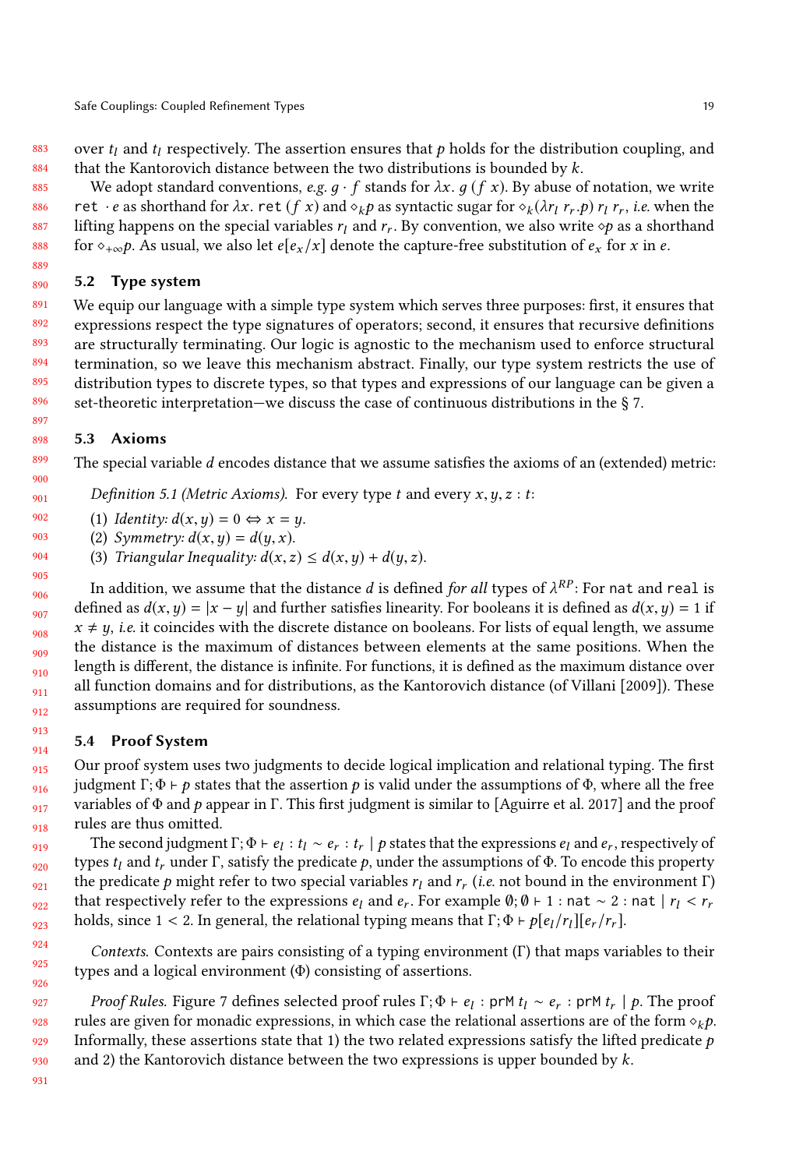883 884 over  $t_l$  and  $t_l$  respectively. The assertion ensures that p holds for the distribution coupling, and that the Kantorovich distance between the two distributions is bounded by  $k$ .

885 886 887 888 We adopt standard conventions, e.g.  $q \cdot f$  stands for  $\lambda x$ .  $q \cdot f$ . By abuse of notation, we write ret · e as shorthand for  $\lambda x$ . ret  $(f \, x)$  and  $\circ_k p$  as syntactic sugar for  $\circ_k (\lambda r_l \, r_r.p)$   $r_l \, r_r$ , *i.e.* when the lifting happens on the special variables  $r_l$  and  $r_r$ . By convention, we also write  $\diamond p$  as a shorthand for  $\diamond p$  as a shorthand for  $\diamond_{+\infty}p$ . As usual, we also let  $e[e_x/x]$  denote the capture-free substitution of  $e_x$  for x in e.

#### <span id="page-18-0"></span>890 5.2 Type system

889

891 892 893 894 895 896 We equip our language with a simple type system which serves three purposes: first, it ensures that expressions respect the type signatures of operators; second, it ensures that recursive definitions are structurally terminating. Our logic is agnostic to the mechanism used to enforce structural termination, so we leave this mechanism abstract. Finally, our type system restricts the use of distribution types to discrete types, so that types and expressions of our language can be given a set-theoretic interpretation—we discuss the case of continuous distributions in the § [7.](#page-24-0)

#### <span id="page-18-1"></span>5.3 Axioms

The special variable d encodes distance that we assume satisfies the axioms of an (extended) metric:

Definition 5.1 (Metric Axioms). For every type t and every  $x, y, z : t$ :

(1) Identity:  $d(x, y) = 0 \Leftrightarrow x = y$ .

- (2) Symmetry:  $d(x, y) = d(y, x)$ .
- (3) Triangular Inequality:  $d(x, z) \leq d(x, y) + d(y, z)$ .

In addition, we assume that the distance *d* is defined *for all* types of  $\lambda^{RP}$ : For nat and real is fined as  $d(x, y) = |x - y|$  and further satisfies linearity. For booleans it is defined as  $d(x, y) = 1$  if defined as  $d(x, y) = |x - y|$  and further satisfies linearity. For booleans it is defined as  $d(x, y) = 1$  if  $x \neq y$ , *i.e.* it coincides with the discrete distance on booleans. For lists of equal length, we assume the distance is the maximum of distances between elements at the same positions. When the length is different, the distance is infinite. For functions, it is defined as the maximum distance over all function domains and for distributions, as the Kantorovich distance (of [Villani](#page-27-5) [\[2009\]](#page-27-5)). These assumptions are required for soundness.

### <span id="page-18-2"></span>5.4 Proof System

Our proof system uses two judgments to decide logical implication and relational typing. The first judgment Γ; Φ <sup>⊢</sup> p states that the assertion p is valid under the assumptions of Φ, where all the free variables of  $\Phi$  and p appear in Γ. This first judgment is similar to [\[Aguirre et al.](#page-25-4) [2017\]](#page-25-4) and the proof rules are thus omitted.

The second judgment  $\Gamma$ ;  $\Phi \vdash e_l : t_l \sim e_r : t_r \mid p$  states that the expressions  $e_l$  and  $e_r$ , respectively of the the second that the securitions of  $\Phi$ . To encode this property types  $t_l$  and  $t_r$  under Γ, satisfy the predicate p, under the assumptions of Φ. To encode this property the predicate p might refer to two special variables  $r_l$  and  $r_r$  (i.e. not bound in the environment Γ) that respectively refer to the expressions  $e_l$  and  $e$ . For example  $\theta_1 \theta \vdash 1$  : nat  $\approx 2$  : nat  $\mid r_i \leq r$ that respectively refer to the expressions  $e_l$  and  $e_r$ . For example  $\emptyset$ ;  $\emptyset$  ⊢ 1 : nat ∼ 2 : nat |  $r_l < r_r$ <br>holds since 1 < 2 In general, the relational typing means that  $\Gamma$ ;  $\emptyset$  ⊢ ole,  $|r_l|$  [e\_ $r$ ] holds, since 1 < 2. In general, the relational typing means that  $\Gamma$ ;  $\Phi \vdash p[e_l/r_l][e_r/r_r]$ .

Contexts. Contexts are pairs consisting of a typing environment (Γ) that maps variables to their types and a logical environment (Φ) consisting of assertions.

*Proof Rules.* Figure [7](#page-19-0) defines selected proof rules  $\Gamma$ ;  $\Phi \vdash e_l$ : prM  $t_l \sim e_r$ : prM  $t_r \mid p$ . The proof les are given for monadic expressions in which case the relational assertions are of the form  $\alpha$ ,  $\alpha$ rules are given for monadic expressions, in which case the relational assertions are of the form  $\diamond_k p$ . Informally, these assertions state that 1) the two related expressions satisfy the lifted predicate  $p$ and 2) the Kantorovich distance between the two expressions is upper bounded by  $k$ .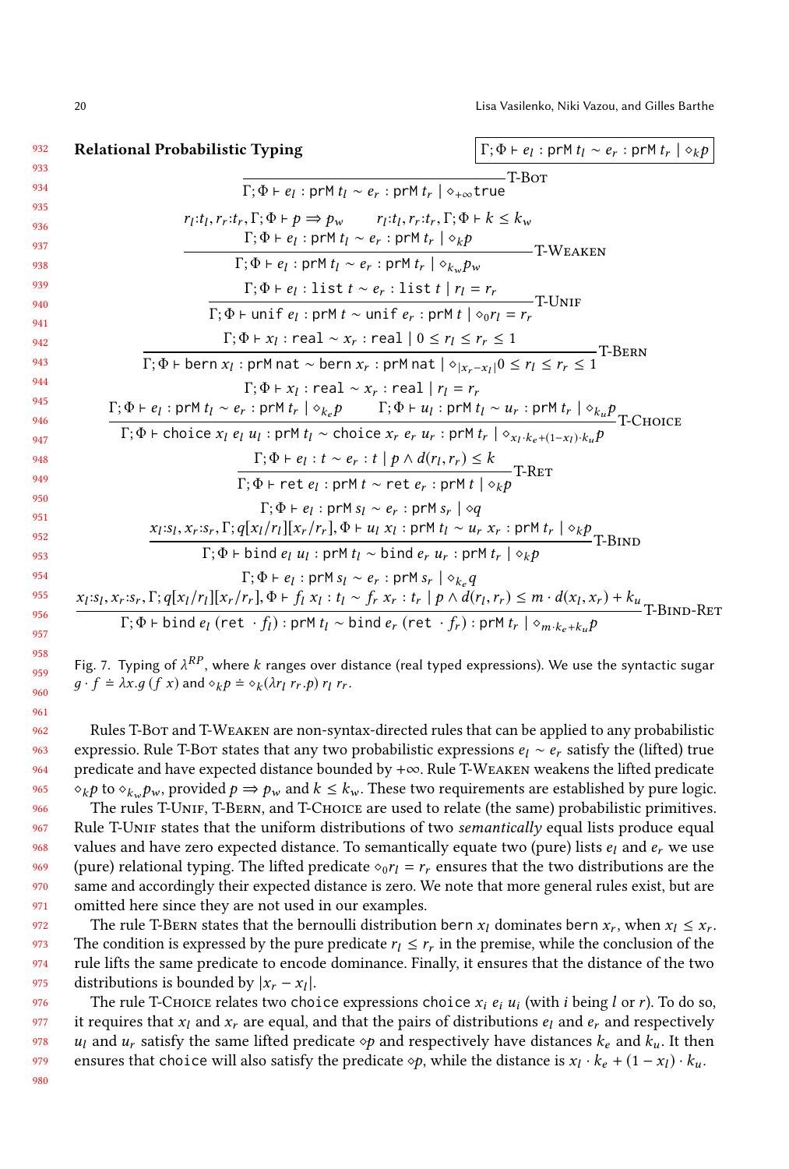<span id="page-19-0"></span>

| Relational Probabilistic Typing                                                                                                                                                                                                                              | $\Gamma$ ; $\Phi$ + $e_l$ : prM $t_l \sim e_r$ : prM $t_r   \diamond_k p$ |
|--------------------------------------------------------------------------------------------------------------------------------------------------------------------------------------------------------------------------------------------------------------|---------------------------------------------------------------------------|
| $\Gamma$ : $\Phi$ + $e$ <sub>l</sub> : prM $t$ <sub>l</sub> ~ $e$ <sub>r</sub> : prM $t$ <sub>r</sub>   $\diamond$ <sub>+<math>\infty</math></sub> true                                                                                                      | -Т-Вот                                                                    |
| $r_l:t_l, r_r:t_r, \Gamma; \Phi \vdash p \Longrightarrow p_w$ $r_l:t_l, r_r:t_r, \Gamma; \Phi \vdash k \leq k_w$<br>$\Gamma$ ; $\Phi$ + $e_l$ : prM $t_l \sim e_r$ : prM $t_r   \diamond_k p$                                                                | -T-WEAKEN                                                                 |
| $\Gamma$ ; $\Phi \vdash e_l$ : prM $t_l \sim e_r$ : prM $t_r   \diamond_{k_w} p_w$                                                                                                                                                                           |                                                                           |
| $\Gamma; \Phi \vdash e_l : \text{list } t \sim e_r : \text{list } t \mid r_l = r_r$<br>T-UNIF                                                                                                                                                                |                                                                           |
| $\Gamma$ ; $\Phi$ + unif $e_l$ : prM $t \sim$ unif $e_r$ : prM $t   \diamond_0 r_l = r_r$                                                                                                                                                                    |                                                                           |
| $\Gamma$ ; $\Phi \vdash x_l$ : real $\sim x_r$ : real $ 0 \le r_l \le r_r \le 1$                                                                                                                                                                             | <b>T-BERN</b>                                                             |
| $\Gamma$ ; $\Phi$ + bern $x_l$ : prM nat ~ bern $x_r$ : prM nat $  \diamond_{ x_r-x_l } 0 \le r_l \le r_r \le 1$                                                                                                                                             |                                                                           |
| $\Gamma$ : $\Phi \vdash x_1$ : real $\sim x_r$ : real $ r_1 = r_r$<br>$\Gamma$ ; $\Phi \vdash e_l$ : prM $t_l \sim e_r$ : prM $t_r   \diamond_{k_e} p$ $\Gamma$ ; $\Phi \vdash u_l$ : prM $t_l \sim u_r$ : prM $t_r   \diamond_{k_u} p$ T-CHOICE             |                                                                           |
| $\Gamma$ ; $\Phi$ + choice $x_l$ $e_l$ $u_l$ : prM $t_l$ ~ choice $x_r$ $e_r$ $u_r$ : prM $t_r$ $  \diamond_{x_l \cdot k_e + (1-x_l) \cdot k_n} p$                                                                                                           |                                                                           |
| $\frac{\Gamma; \Phi \vdash e_l : t \sim e_r : t \mid p \land d(r_l, r_r) \leq k}{\Gamma; \Phi \vdash \texttt{ret} \; e_l : \texttt{prM} \; t \sim \texttt{ret} \; e_r : \texttt{prM} \; t \mid \diamond_k p} \texttt{T-RET}$                                 |                                                                           |
|                                                                                                                                                                                                                                                              |                                                                           |
| $\Gamma$ : $\Phi$ + $e_1$ : prM $s_1 \sim e_r$ : prM $s_r$   $\diamond q$<br>$x_l$ :s <sub>l</sub> , $x_r$ :s <sub>r</sub> , $\Gamma$ ; $q[x_l/r_l][x_r/r_r]$ , $\Phi \vdash u_l x_l$ : prM $t_l \sim u_r x_r$ : prM $t_r   \diamond_k p$ <sub>T-BIND</sub>  |                                                                           |
| $\Gamma$ ; $\Phi$ + bind $e_l$ $u_l$ : prM $t_l$ ~ bind $e_r$ $u_r$ : prM $t_r$ $  \diamond_k p$                                                                                                                                                             |                                                                           |
| $\Gamma$ ; $\Phi$ + $e_l$ : prM $s_l \sim e_r$ : prM $s_r   s_{k_q} q$<br>$x_l$ : $s_l$ , $x_r$ : $s_r$ , $\Gamma$ ; $q[x_l/r_l][x_r/r_r]$ , $\Phi \vdash f_l x_l : t_l \sim f_r x_r : t_r   p \wedge d(r_l, r_r) \leq m \cdot d(x_l, x_r) + k_u$ T-BIND-RET |                                                                           |
| $\Gamma$ ; $\Phi$ + bind $e_l$ (ret $\cdot f_l$ ) : prM $t_l \sim$ bind $e_r$ (ret $\cdot f_r$ ) : prM $t_r   \diamond_{m \cdot k_e + k_n} p$                                                                                                                |                                                                           |

Fig. 7. Typing of  $\lambda^{RP}$ , where k ranges over distance (real typed expressions). We use the syntactic sugar  $a, f \doteq \lambda r a(fx)$  and  $\alpha, b \doteq \alpha (4r, r, a) r, r$  $g \cdot f = \lambda x. g \left( f \right. x \right)$  and  $\diamond_k p = \diamond_k (\lambda r_l \ r_r.p) r_l \ r_r$ .

Rules T-Bot and T-Weaken are non-syntax-directed rules that can be applied to any probabilistic expressio. Rule T-Bor states that any two probabilistic expressions  $e_l \sim e_r$  satisfy the (lifted) true predicate and have expected distance bounded by +∞. Rule T-Weaken weakens the lifted predicate  $\diamond_k p$  to  $\diamond_k p_w$ , provided  $p \Rightarrow p_w$  and  $k \le k_w$ . These two requirements are established by pure logic.<br>The rules T-UNIE T-BERN, and T-CHOUE are used to relate (the same) probabilistic primitives

The rules T-UNIF, T-BERN, and T-CHOICE are used to relate (the same) probabilistic primitives. Rule T-UNIF states that the uniform distributions of two semantically equal lists produce equal values and have zero expected distance. To semantically equate two (pure) lists  $e_l$  and  $e_r$  we use (pure) relational typing. The lifted predicate  $\circ_0 r_l = r_r$  ensures that the two distributions are the same and accordingly their expected distance is zero. We note that more general rules exist, but are omitted here since they are not used in our examples.

972 973 974 975 The rule T-BERN states that the bernoulli distribution bern  $x_l$  dominates bern  $x_r$ , when  $x_l \leq x_r$ .<br>Le condition is expressed by the pure predicate  $r_i \leq r_i$  in the premise while the conclusion of the The condition is expressed by the pure predicate  $r_l \leq r_r$  in the premise, while the conclusion of the rule lifts the same predicate to encode dominance. Finally, it ensures that the distance of the two rule lifts the same predicate to encode dominance. Finally, it ensures that the distance of the two distributions is bounded by  $|x_r - x_l|$ .<br>The rule  $T$ -CHOICE relates two cho

976 977 978 979 980 The rule T-CHOICE relates two choice expressions choice  $x_i e_i u_i$  (with *i* being *l* or *r*). To do so, requires that  $x_i$  and  $x_j$  are equal, and that the pairs of distributions  $e_i$  and  $e_j$  and respectively it requires that  $x_l$  and  $x_r$  are equal, and that the pairs of distributions  $e_l$  and  $e_r$  and respectively  $u_l$  and  $u_r$  satisfy the same lifted predicate  $\circ p$  and respectively have distances  $k_e$  and  $k_u$ . It then ensures that choice will also satisfy the predicate  $\diamond p$ , while the distance is  $x_l \cdot k_e + (1 - x_l) \cdot k_u$ .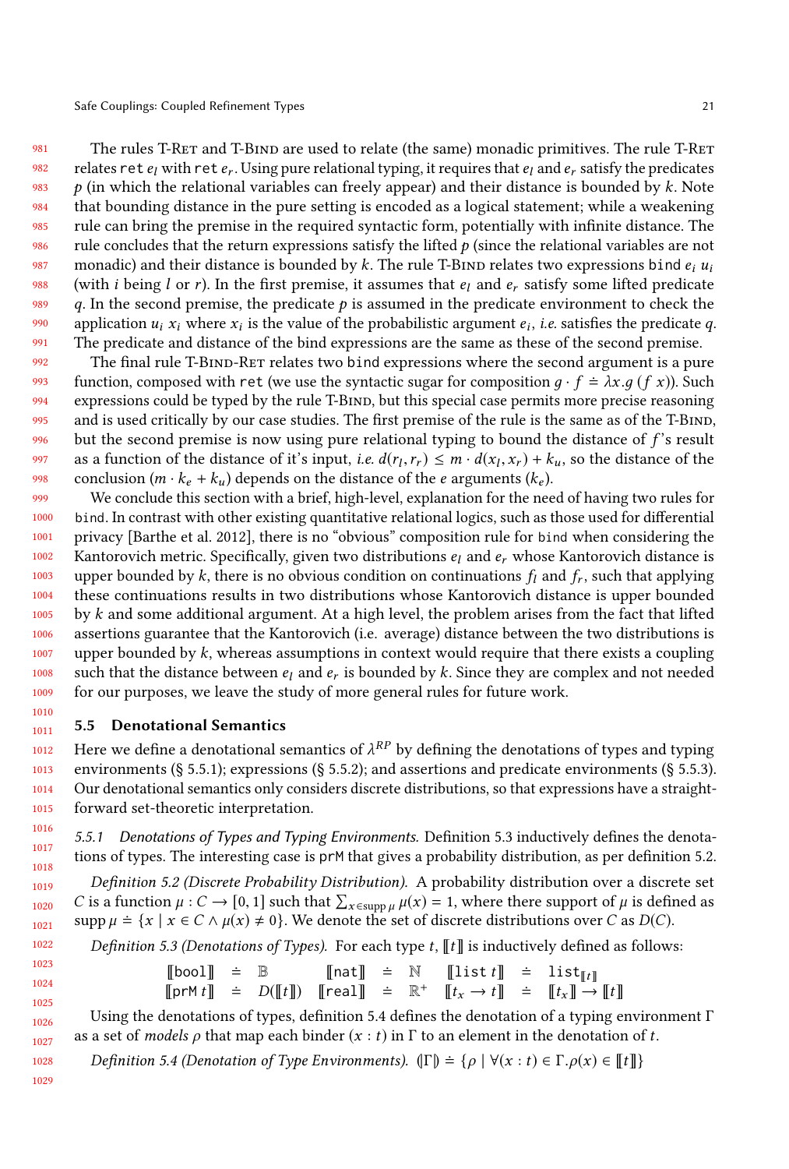981 982 983 984 985 986 987 988 989 990 991 The rules T-RET and T-BIND are used to relate (the same) monadic primitives. The rule T-RET relates  $\text{ret } e_l$  with  $\text{ret } e_r$ . Using pure relational typing, it requires that  $e_l$  and  $e_r$  satisfy the predicates<br>0 (in which the relational variables can freely annear) and their distance is bounded by k. Note  $p$  (in which the relational variables can freely appear) and their distance is bounded by  $k$ . Note that bounding distance in the pure setting is encoded as a logical statement; while a weakening rule can bring the premise in the required syntactic form, potentially with infinite distance. The rule concludes that the return expressions satisfy the lifted  $p$  (since the relational variables are not monadic) and their distance is bounded by k. The rule T-BIND relates two expressions bind  $e_i u_i$ (with *i* being *l* or *r*). In the first premise, it assumes that  $e_l$  and  $e_r$  satisfy some lifted predicate q. In the second premise, the predicate  $p$  is assumed in the predicate environment to check the application  $u_i x_i$  where  $x_i$  is the value of the probabilistic argument  $e_i$ , *i.e.* satisfies the predicate q.<br>The predicate and distance of the bind expressions are the same as these of the second premise The predicate and distance of the bind expressions are the same as these of the second premise.

992 993 994 995 996 997 998 The final rule T-BIND-RET relates two bind expressions where the second argument is a pure function, composed with ret (we use the syntactic sugar for composition  $q \cdot f = \lambda x . q (f x)$ ). Such expressions could be typed by the rule T-BIND, but this special case permits more precise reasoning and is used critically by our case studies. The first premise of the rule is the same as of the T-BIND, but the second premise is now using pure relational typing to bound the distance of  $f$ 's result as a function of the distance of it's input, *i.e.*  $d(r_l, r_r) \leq m \cdot d(x_l, x_r) + k_u$ , so the distance of the conclusion  $(m \cdot k + k)$  depends on the distance of the carguments  $(k)$ conclusion  $(m \cdot k_e + k_u)$  depends on the distance of the *e* arguments  $(k_e)$ .

999 1000 1001 1002 1003 1004 1005 1006 1007 1008 1009 We conclude this section with a brief, high-level, explanation for the need of having two rules for bind. In contrast with other existing quantitative relational logics, such as those used for differential privacy [\[Barthe et al.](#page-25-9) [2012\]](#page-25-9), there is no "obvious" composition rule for bind when considering the Kantorovich metric. Specifically, given two distributions  $e_l$  and  $e_r$  whose Kantorovich distance is upper bounded by k, there is no obvious condition on continuations  $f_l$  and  $f_r$ , such that applying these continuations results in two distributions whose Kantorovich distance is upper bounded these continuations results in two distributions whose Kantorovich distance is upper bounded by  $k$  and some additional argument. At a high level, the problem arises from the fact that lifted assertions guarantee that the Kantorovich (i.e. average) distance between the two distributions is upper bounded by  $k$ , whereas assumptions in context would require that there exists a coupling such that the distance between  $e_l$  and  $e_r$  is bounded by k. Since they are complex and not needed for our purposes, we leave the study of more general rules for future work. for our purposes, we leave the study of more general rules for future work.

#### <span id="page-20-0"></span>1011 5.5 Denotational Semantics

1012 1013 1014 1015 Here we define a denotational semantics of  $\lambda^{RP}$  by defining the denotations of types and typing<br>environments (8.5.5.1); expressions (8.5.5.2); and assertions and predicate environments (8.5.5.3) environments (§ [5.5.1\)](#page-20-1); expressions (§ [5.5.2\)](#page-21-0); and assertions and predicate environments (§ [5.5.3\)](#page-21-1). Our denotational semantics only considers discrete distributions, so that expressions have a straightforward set-theoretic interpretation.

<span id="page-20-1"></span>5.5.1 Denotations of Types and Typing Environments. Definition [5.3](#page-20-2) inductively defines the denotations of types. The interesting case is prM that gives a probability distribution, as per definition [5.2.](#page-20-3)

<span id="page-20-3"></span>Definition 5.2 (Discrete Probability Distribution). A probability distribution over a discrete set C is a function  $\mu : C \to [0, 1]$  such that  $\sum_{x \in \text{supp}\mu} \mu(x) = 1$ , where there support of  $\mu$  is defined as supp  $\mu \doteq \{x \mid x \in C \land \mu(x) \neq 0\}$ . We denote the set of discrete distributions over C as D(C).

<span id="page-20-2"></span>*Definition 5.3 (Denotations of Types).* For each type  $t$ ,  $\llbracket t \rrbracket$  is inductively defined as follows:

$$
\begin{array}{rcl}\n\text{[bool]} & = & \mathbb{B} \\
\text{[prM t]} & = & D(\llbracket t \rrbracket) \\
\text{[remH]} & = & D(\llbracket t \rrbracket) \\
\text{[real]} & = & \mathbb{R}^+ \\
\text{[r}_{x} \rightarrow t \rrbracket & = & \llbracket t_x \rrbracket \rightarrow \llbracket t \rrbracket\n\end{array}
$$

Using the denotations of types, definition [5.4](#page-20-4) defines the denotation of a typing environment  $\Gamma$ <br>a set of models o that man each binder  $(x : t)$  in  $\Gamma$  to an element in the denotation of t as a set of models  $\rho$  that map each binder  $(x : t)$  in  $\Gamma$  to an element in the denotation of t.

<span id="page-20-4"></span>Definition 5.4 (Denotation of Type Environments).  $(\Gamma) = \{ \rho \mid \forall (x : t) \in \Gamma, \rho(x) \in \llbracket t \rrbracket \}$ 

1028 1029

1010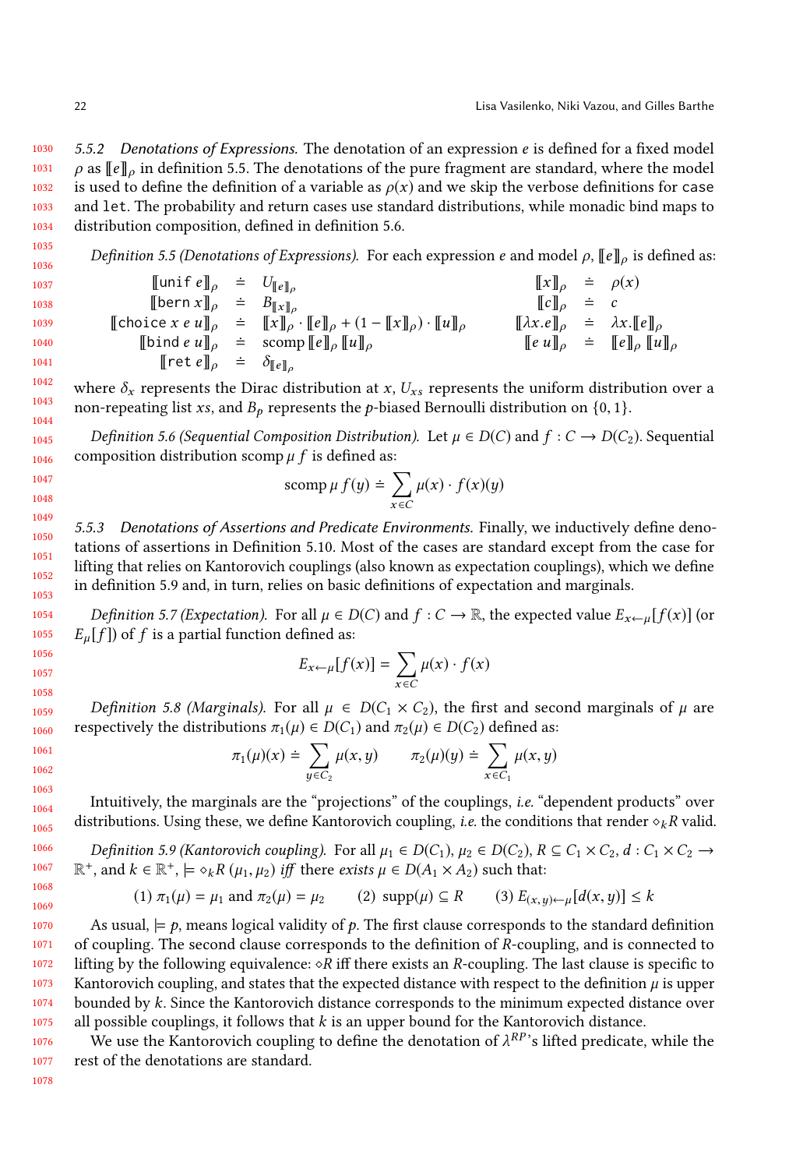<span id="page-21-0"></span>1030 1031 1032 1033 1034 5.5.2 Denotations of Expressions. The denotation of an expression  $e$  is defined for a fixed model  $\rho$  as  $\llbracket e \rrbracket_o$  in definition [5.5.](#page-21-2) The denotations of the pure fragment are standard, where the model is used to define the definition of a variable as  $\rho(x)$  and we skip the verbose definitions for case and let. The probability and return cases use standard distributions, while monadic bind maps to distribution composition, defined in definition [5.6.](#page-21-3)

<span id="page-21-2"></span>*Definition 5.5 (Denotations of Expressions).* For each expression *e* and model  $\rho$ ,  $\llbracket e \rrbracket_{\rho}$  is defined as:

1035 1036

> $\llbracket$ unif  $e \rrbracket_o$  =  $U_{\llbracket e \rrbracket_o}$  $\llbracket x \rrbracket_{\rho} \doteq \rho(x)$  $[\![\text{bern } x]\!]_{\rho} = B_{\llbracket x \rrbracket_{\rho}}^{\llbracket x \rrbracket_{\rho}}$   $[\![\text{In}] \!]_{\rho} = c$  $[\text{choice } x \text{ e } u]_p = [\![x]\!]_p \cdot [\![e]\!]_p + (1 - [\![x]\!]_p) \cdot [\![u]\!]_p \qquad [\![\lambda x. e]\!]_p = \lambda x. [\![e]\!]_p$ <br>  $[\![h] \text{ in } [e] \text{ in } [e]$  $[\![ \text{bind } e \ u \!]_p^p \approx \text{scomp} [\![ e \!]_p [\![ u ]\!]_p$   $[\![ u ]\!]_p$   $[\![ e \ u \!]_p^p \approx [\![ e \!]_p [\![ u ]\!]_p$  $[\lbrack \text{ret } e \rbrack]_{\rho} = \delta_{\lbrack \lbrack e \rbrack]_{\rho}}$

where  $\delta_x$  represents the Dirac distribution at x,  $U_{xs}$  represents the uniform distribution over a non-repeating list xs, and  $B_p$  represents the p-biased Bernoulli distribution on {0, 1}.

<span id="page-21-3"></span>Definition 5.6 (Sequential Composition Distribution). Let  $\mu \in D(C)$  and  $f: C \to D(C_2)$ . Sequential composition distribution scomp  $\mu$  f is defined as:

$$
\operatorname{scomp} \mu f(y) = \sum_{x \in C} \mu(x) \cdot f(x)(y)
$$

<span id="page-21-1"></span>5.5.3 Denotations of Assertions and Predicate Environments. Finally, we inductively define denotations of assertions in Definition [5.10.](#page-21-4) Most of the cases are standard except from the case for lifting that relies on Kantorovich couplings (also known as expectation couplings), which we define in definition [5.9](#page-21-5) and, in turn, relies on basic definitions of expectation and marginals.

Definition 5.7 (Expectation). For all  $\mu \in D(C)$  and  $f: C \to \mathbb{R}$ , the expected value  $E_{x \leftarrow \mu}[f(x)]$  (or  $E_u[f]$ ) of f is a partial function defined as:

$$
E_{x \leftarrow \mu}[f(x)] = \sum_{x \in C} \mu(x) \cdot f(x)
$$

Definition 5.8 (Marginals). For all  $\mu \in D(C_1 \times C_2)$ , the first and second marginals of  $\mu$  are respectively the distributions  $\pi_1(\mu) \in D(C_1)$  and  $\pi_2(\mu) \in D(C_2)$  defined as:

$$
\pi_1(\mu)(x) \doteq \sum_{y \in C_2} \mu(x, y) \qquad \pi_2(\mu)(y) \doteq \sum_{x \in C_1} \mu(x, y)
$$

Intuitively, the marginals are the "projections" of the couplings, i.e. "dependent products" over distributions. Using these, we define Kantorovich coupling, i.e. the conditions that render  $\diamond_k R$  valid.

<span id="page-21-5"></span>Definition 5.9 (Kantorovich coupling). For all  $\mu_1 \in D(C_1)$ ,  $\mu_2 \in D(C_2)$ ,  $R \subseteq C_1 \times C_2$ ,  $d : C_1 \times C_2 \rightarrow$  $\mathbb{R}^+$ , and  $k \in \mathbb{R}^+$ ,  $\models \diamond_k R(\mu_1, \mu_2)$  *iff* there *exists*  $\mu \in D(A_1 \times A_2)$  such that:

(1) 
$$
\pi_1(\mu) = \mu_1
$$
 and  $\pi_2(\mu) = \mu_2$  (2) supp( $\mu$ )  $\subseteq R$  (3)  $E_{(x,y)\leftarrow \mu}[d(x,y)] \le k$ 

1070 1071 1072 1073 1074 1075 As usual,  $\models p$ , means logical validity of p. The first clause corresponds to the standard definition of coupling. The second clause corresponds to the definition of R-coupling, and is connected to lifting by the following equivalence:  $\diamond R$  iff there exists an R-coupling. The last clause is specific to Kantorovich coupling, and states that the expected distance with respect to the definition  $\mu$  is upper bounded by k. Since the Kantorovich distance corresponds to the minimum expected distance over all possible couplings, it follows that  $k$  is an upper bound for the Kantorovich distance.

<span id="page-21-4"></span>1076 1077 We use the Kantorovich coupling to define the denotation of  $\lambda^{RP}$ 's lifted predicate, while the<br>st of the denotations are standard rest of the denotations are standard.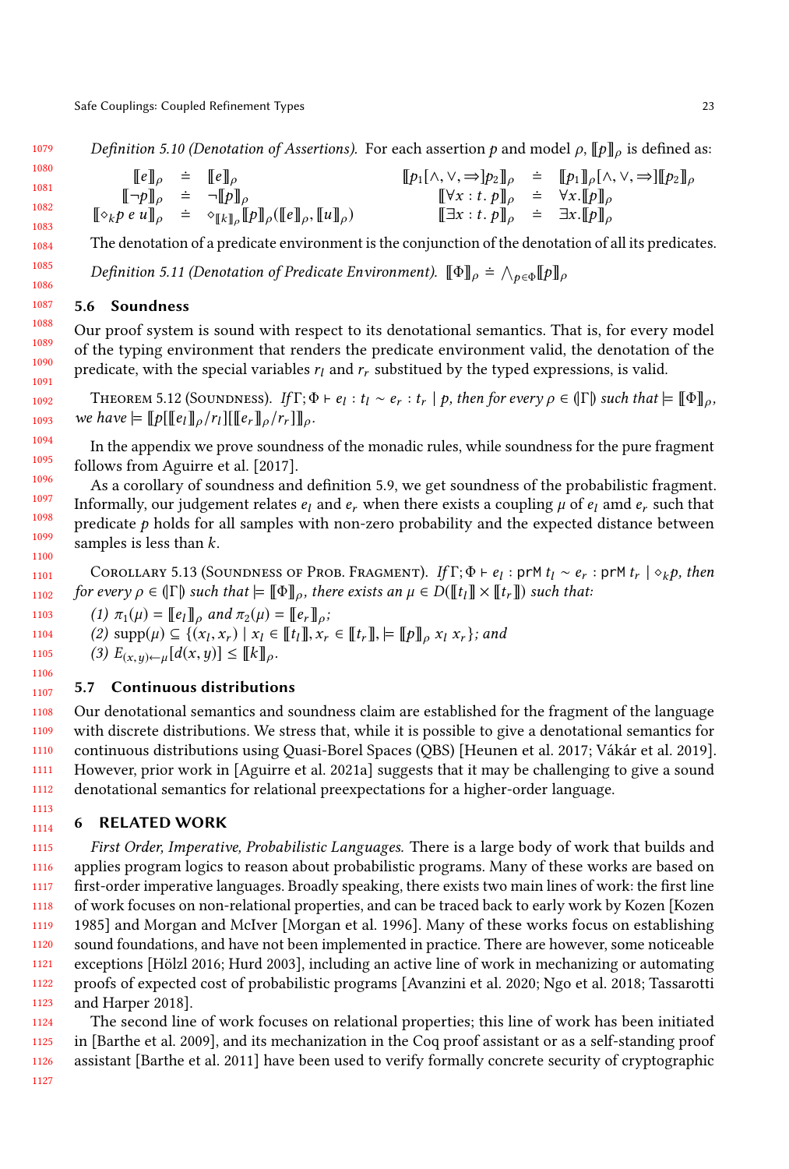Definition 5.10 (Denotation of Assertions). For each assertion 
$$
p
$$
 and model  $\rho$ ,  $\llbracket p \rrbracket_{\rho}$  is defined as:

\n
$$
\llbracket e \rrbracket_{\rho} = \llbracket e \rrbracket_{\rho}
$$
\n
$$
\llbracket \neg p \rrbracket_{\rho} = \neg \llbracket p \rrbracket_{\rho}
$$
\n
$$
\llbracket \neg p \rrbracket_{\rho} = \neg \llbracket p \rrbracket_{\rho}
$$
\n
$$
\llbracket \neg p \rrbracket_{\rho} = \neg \llbracket p \rrbracket_{\rho}
$$
\n
$$
\llbracket \neg p \rrbracket_{\rho} = \neg \llbracket p \rrbracket_{\rho}
$$
\n
$$
\llbracket \neg p \rrbracket_{\rho} = \neg \llbracket p \rrbracket_{\rho}
$$
\n
$$
\llbracket \neg p \rrbracket_{\rho} = \neg \llbracket p \rrbracket_{\rho}
$$
\n
$$
\llbracket \exists x : t. \ p \rrbracket_{\rho} = \exists x. \llbracket p \rrbracket_{\rho}
$$

The denotation of a predicate environment is the conjunction of the denotation of all its predicates.

Definition 5.11 (Denotation of Predicate Environment).  $[\![\Phi]\!]_\rho \doteq \bigwedge_{p\in\Phi} [\![p]\!]_\rho$ 

### <span id="page-22-1"></span>5.6 Soundness

Our proof system is sound with respect to its denotational semantics. That is, for every model of the typing environment that renders the predicate environment valid, the denotation of the predicate, with the special variables  $r_l$  and  $r_r$  substitued by the typed expressions, is valid.

THEOREM 5.12 (SOUNDNESS). If  $\Gamma; \Phi \vdash e_l : t_l \sim e_r : t_r \mid p$ , then for every  $\rho \in (\Gamma)$  such that  $\models [\![\Phi]\!]_{\rho}$ ,<br>chave  $\models [\![\Phi]\!]_{e'}$ . we have  $= [\![p[[e_l]\!]_\rho/r_l][[[e_r]\!]_\rho/r_r]]_\rho$ .

In the appendix we prove soundness of the monadic rules, while soundness for the pure fragment follows from [Aguirre et al.](#page-25-4) [\[2017\]](#page-25-4).

As a corollary of soundness and definition [5.9,](#page-21-5) we get soundness of the probabilistic fragment. Informally, our judgement relates  $e_l$  and  $e_r$  when there exists a coupling  $\mu$  of  $e_l$  amd  $e_r$  such that predicate  $p$  holds for all samples with non-zero probability and the expected distance between samples is less than  $k$ .

1101 1102 COROLLARY 5.13 (SOUNDNESS OF PROB. FRAGMENT). If  $\Gamma; \Phi \vdash e_l : \text{prM } t_l \sim e_r : \text{prM } t_r \mid \phi_k p$ , then<br>cevery  $\phi \in \Pi$  such that  $\vdash \Pi \Phi \Pi$  there exists an  $\mu \in D(\Pi t, \Pi \times \Pi t, \Pi)$  such that: for every  $\rho \in (\Gamma)$  such that  $\models [\![\Phi]\!]_o$ , there exists an  $\mu \in D([\![t_l]\!]\times [\![t_r]\!])$  such that:

1103 (1)  $\pi_1(\mu) = [\![e_l]\!]_\rho$  and  $\pi_2(\mu) = [\![e_r]\!]_\rho$ ;

1104 (2)  $\text{supp}(\mu) \subseteq \{(x_1, x_r) \mid x_l \in [\![t_l]\!], x_r \in [\![t_r]\!], \models [\![p]\!]_p x_l x_r\};$  and (3)  $E \longrightarrow [d(x, y)] \subseteq [\![t_r]\!]$ 

(3)  $E_{(x,y)\leftarrow\mu}[d(x,y)] \leq [k]_{\rho}$ .

#### 1107 5.7 Continuous distributions

1108 1109 1110 1111 1112 Our denotational semantics and soundness claim are established for the fragment of the language with discrete distributions. We stress that, while it is possible to give a denotational semantics for continuous distributions using Quasi-Borel Spaces (QBS) [\[Heunen et al.](#page-26-7) [2017;](#page-26-7) [Vákár et al.](#page-26-8) [2019\]](#page-26-8). However, prior work in [\[Aguirre et al.](#page-25-10) [2021a\]](#page-25-10) suggests that it may be challenging to give a sound denotational semantics for relational preexpectations for a higher-order language.

### <span id="page-22-0"></span>6 RELATED WORK

1115 1116 1117 1118 1119 1120 1121 1122 1123 First Order, Imperative, Probabilistic Languages. There is a large body of work that builds and applies program logics to reason about probabilistic programs. Many of these works are based on first-order imperative languages. Broadly speaking, there exists two main lines of work: the first line of work focuses on non-relational properties, and can be traced back to early work by Kozen [\[Kozen](#page-26-9) [1985\]](#page-26-9) and Morgan and McIver [\[Morgan et al.](#page-26-10) [1996\]](#page-26-10). Many of these works focus on establishing sound foundations, and have not been implemented in practice. There are however, some noticeable exceptions [\[Hölzl 2016;](#page-26-11) [Hurd 2003\]](#page-26-12), including an active line of work in mechanizing or automating proofs of expected cost of probabilistic programs [\[Avanzini et al.](#page-25-11) [2020;](#page-25-11) [Ngo et al.](#page-26-13) [2018;](#page-26-13) [Tassarotti](#page-26-14) [and Harper 2018\]](#page-26-14).

1124 1125 1126 The second line of work focuses on relational properties; this line of work has been initiated in [\[Barthe et al.](#page-25-12) [2009\]](#page-25-12), and its mechanization in the Coq proof assistant or as a self-standing proof assistant [\[Barthe et al.](#page-25-13) [2011\]](#page-25-13) have been used to verify formally concrete security of cryptographic

1105 1106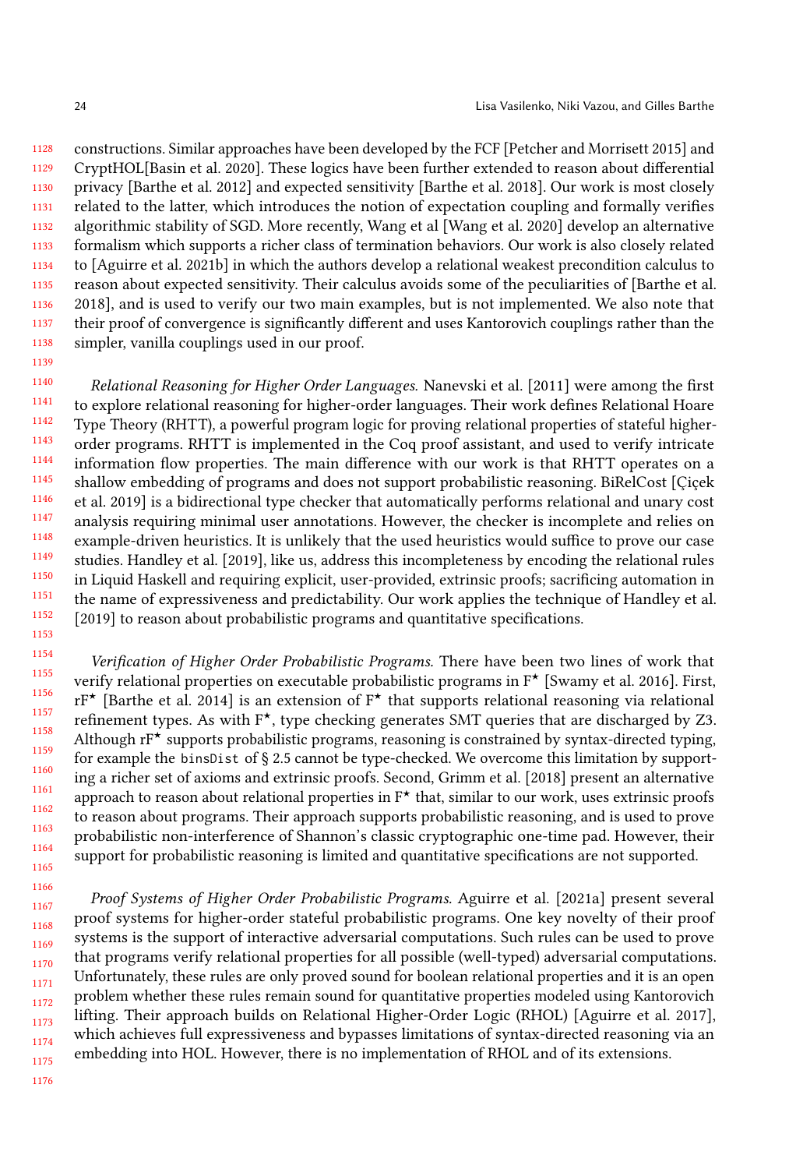1128 1129 1130 1131 1132 1133 1134 1135 1136 1137 1138 constructions. Similar approaches have been developed by the FCF [\[Petcher and Morrisett 2015\]](#page-26-15) and CryptHOL[\[Basin et al.](#page-25-14) [2020\]](#page-25-14). These logics have been further extended to reason about differential privacy [\[Barthe et al.](#page-25-9) [2012\]](#page-25-9) and expected sensitivity [\[Barthe et al.](#page-25-15) [2018\]](#page-25-15). Our work is most closely related to the latter, which introduces the notion of expectation coupling and formally verifies algorithmic stability of SGD. More recently, Wang et al [\[Wang et al.](#page-27-6) [2020\]](#page-27-6) develop an alternative formalism which supports a richer class of termination behaviors. Our work is also closely related to [\[Aguirre et al.](#page-25-16) [2021b\]](#page-25-16) in which the authors develop a relational weakest precondition calculus to reason about expected sensitivity. Their calculus avoids some of the peculiarities of [\[Barthe et al.](#page-25-15) [2018\]](#page-25-15), and is used to verify our two main examples, but is not implemented. We also note that their proof of convergence is significantly different and uses Kantorovich couplings rather than the simpler, vanilla couplings used in our proof.

1139

1166

1176

1140 1141 1142 1143 1144 1145 1146 1147 1148 1149 1150 1151 1152 1153 Relational Reasoning for Higher Order Languages. [Nanevski et al.](#page-26-16) [\[2011\]](#page-26-16) were among the first to explore relational reasoning for higher-order languages. Their work defines Relational Hoare Type Theory (RHTT), a powerful program logic for proving relational properties of stateful higherorder programs. RHTT is implemented in the Coq proof assistant, and used to verify intricate information flow properties. The main difference with our work is that RHTT operates on a shallow embedding of programs and does not support probabilistic reasoning. BiRelCost [\[Çiçek](#page-25-3) [et al.](#page-25-3) [2019\]](#page-25-3) is a bidirectional type checker that automatically performs relational and unary cost analysis requiring minimal user annotations. However, the checker is incomplete and relies on example-driven heuristics. It is unlikely that the used heuristics would suffice to prove our case studies. [Handley et al.](#page-25-1) [\[2019\]](#page-25-1), like us, address this incompleteness by encoding the relational rules in Liquid Haskell and requiring explicit, user-provided, extrinsic proofs; sacrificing automation in the name of expressiveness and predictability. Our work applies the technique of [Handley et al.](#page-25-1) [\[2019\]](#page-25-1) to reason about probabilistic programs and quantitative specifications.

1154 1155 1156 1157 1158 1159 1160 1161 1162 1163 1164 1165 Verification of Higher Order Probabilistic Programs. There have been two lines of work that verify relational properties on executable probabilistic programs in  $F^{\star}$  [\[Swamy et al.](#page-26-0) [2016\]](#page-26-0). First,  $rF^{\star}$  [\[Barthe et al.](#page-25-2) [2014\]](#page-25-2) is an extension of  $F^{\star}$  that supports relational reasoning via relational refinement types. As with  $F^{\star}$ , type checking generates SMT queries that are discharged by Z3. Although  $rF^{\star}$  supports probabilistic programs, reasoning is constrained by syntax-directed typing, for example the binsDist of § [2.5](#page-6-0) cannot be type-checked. We overcome this limitation by supporting a richer set of axioms and extrinsic proofs. Second, [Grimm et al.](#page-25-17) [\[2018\]](#page-25-17) present an alternative approach to reason about relational properties in  $F^*$  that, similar to our work, uses extrinsic proofs to reason about programs. Their approach supports probabilistic reasoning, and is used to prove probabilistic non-interference of Shannon's classic cryptographic one-time pad. However, their support for probabilistic reasoning is limited and quantitative specifications are not supported.

1167 1168 1169 1170 1171 1172 1173 1174 1175 Proof Systems of Higher Order Probabilistic Programs. [Aguirre et al.](#page-25-10) [\[2021a\]](#page-25-10) present several proof systems for higher-order stateful probabilistic programs. One key novelty of their proof systems is the support of interactive adversarial computations. Such rules can be used to prove that programs verify relational properties for all possible (well-typed) adversarial computations. Unfortunately, these rules are only proved sound for boolean relational properties and it is an open problem whether these rules remain sound for quantitative properties modeled using Kantorovich lifting. Their approach builds on Relational Higher-Order Logic (RHOL) [\[Aguirre et al.](#page-25-4) [2017\]](#page-25-4), which achieves full expressiveness and bypasses limitations of syntax-directed reasoning via an embedding into HOL. However, there is no implementation of RHOL and of its extensions.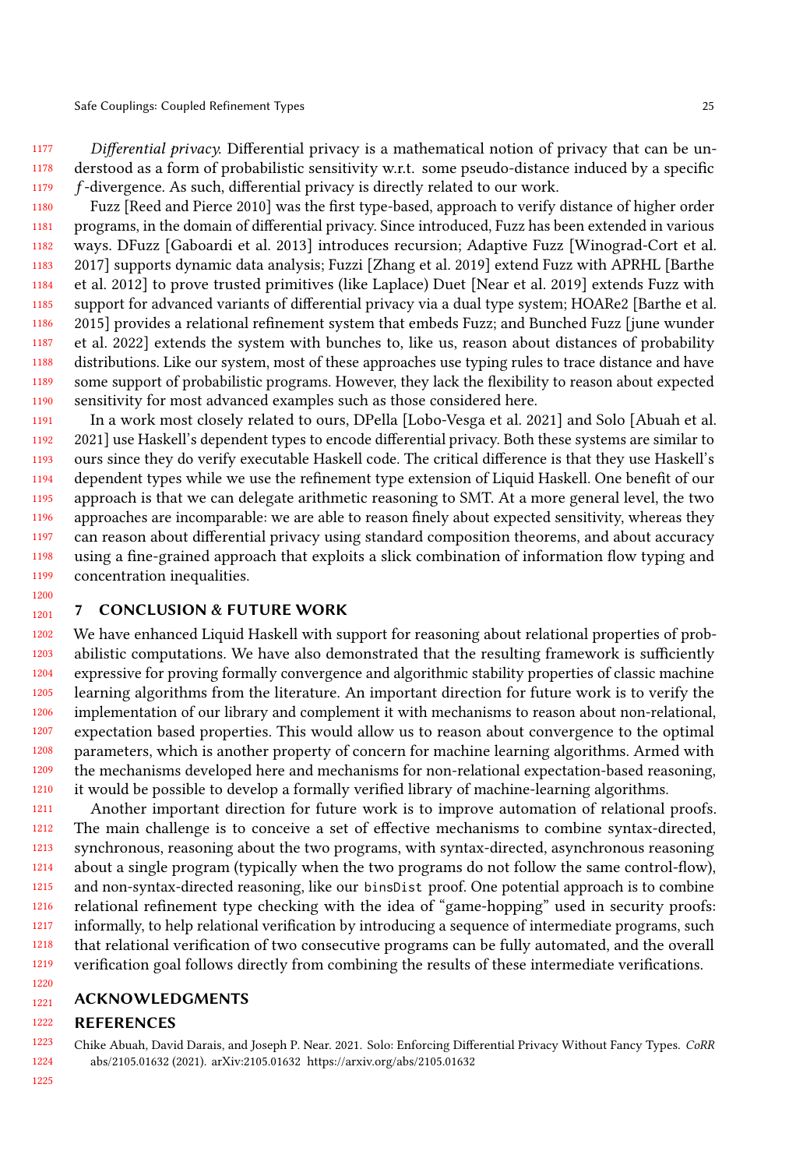1177 1178 1179 Differential privacy. Differential privacy is a mathematical notion of privacy that can be understood as a form of probabilistic sensitivity w.r.t. some pseudo-distance induced by a specific f -divergence. As such, differential privacy is directly related to our work.

1180 1181 1182 1183 1184 1185 1186 1187 1188 1189 1190 Fuzz [\[Reed and Pierce 2010\]](#page-26-17) was the first type-based, approach to verify distance of higher order programs, in the domain of differential privacy. Since introduced, Fuzz has been extended in various ways. DFuzz [\[Gaboardi et al.](#page-25-18) [2013\]](#page-25-18) introduces recursion; Adaptive Fuzz [\[Winograd-Cort et al.](#page-27-7) [2017\]](#page-27-7) supports dynamic data analysis; Fuzzi [\[Zhang et al.](#page-27-8) [2019\]](#page-27-8) extend Fuzz with APRHL [\[Barthe](#page-25-9) [et al.](#page-25-9) [2012\]](#page-25-9) to prove trusted primitives (like Laplace) Duet [\[Near et al.](#page-26-18) [2019\]](#page-26-18) extends Fuzz with support for advanced variants of differential privacy via a dual type system; HOARe2 [\[Barthe et al.](#page-25-19) [2015\]](#page-25-19) provides a relational refinement system that embeds Fuzz; and Bunched Fuzz [\[june wunder](#page-26-19) [et al.](#page-26-19) [2022\]](#page-26-19) extends the system with bunches to, like us, reason about distances of probability distributions. Like our system, most of these approaches use typing rules to trace distance and have some support of probabilistic programs. However, they lack the flexibility to reason about expected sensitivity for most advanced examples such as those considered here.

1191 1192 1193 1194 1195 1196 1197 1198 1199 In a work most closely related to ours, DPella [\[Lobo-Vesga et al.](#page-26-20) [2021\]](#page-26-20) and Solo [\[Abuah et al.](#page-24-1) [2021\]](#page-24-1) use Haskell's dependent types to encode differential privacy. Both these systems are similar to ours since they do verify executable Haskell code. The critical difference is that they use Haskell's dependent types while we use the refinement type extension of Liquid Haskell. One benefit of our approach is that we can delegate arithmetic reasoning to SMT. At a more general level, the two approaches are incomparable: we are able to reason finely about expected sensitivity, whereas they can reason about differential privacy using standard composition theorems, and about accuracy using a fine-grained approach that exploits a slick combination of information flow typing and concentration inequalities.

#### 1200 1201

### <span id="page-24-0"></span>7 CONCLUSION & FUTURE WORK

1202 1203 1204 1205 1206 1207 1208 1209 1210 We have enhanced Liquid Haskell with support for reasoning about relational properties of probabilistic computations. We have also demonstrated that the resulting framework is sufficiently expressive for proving formally convergence and algorithmic stability properties of classic machine learning algorithms from the literature. An important direction for future work is to verify the implementation of our library and complement it with mechanisms to reason about non-relational, expectation based properties. This would allow us to reason about convergence to the optimal parameters, which is another property of concern for machine learning algorithms. Armed with the mechanisms developed here and mechanisms for non-relational expectation-based reasoning, it would be possible to develop a formally verified library of machine-learning algorithms.

1211 1212 1213 1214 1215 1216 1217 1218 1219 Another important direction for future work is to improve automation of relational proofs. The main challenge is to conceive a set of effective mechanisms to combine syntax-directed, synchronous, reasoning about the two programs, with syntax-directed, asynchronous reasoning about a single program (typically when the two programs do not follow the same control-flow), and non-syntax-directed reasoning, like our binsDist proof. One potential approach is to combine relational refinement type checking with the idea of "game-hopping" used in security proofs: informally, to help relational verification by introducing a sequence of intermediate programs, such that relational verification of two consecutive programs can be fully automated, and the overall verification goal follows directly from combining the results of these intermediate verifications.

#### 1220 1221

### ACKNOWLEDGMENTS

#### 1222 REFERENCES

<span id="page-24-1"></span>1223 1224 Chike Abuah, David Darais, and Joseph P. Near. 2021. Solo: Enforcing Differential Privacy Without Fancy Types. CoRR abs/2105.01632 (2021). arXiv[:2105.01632 https://arxiv.org/abs/2105.01632](https://arxiv.org/abs/2105.01632)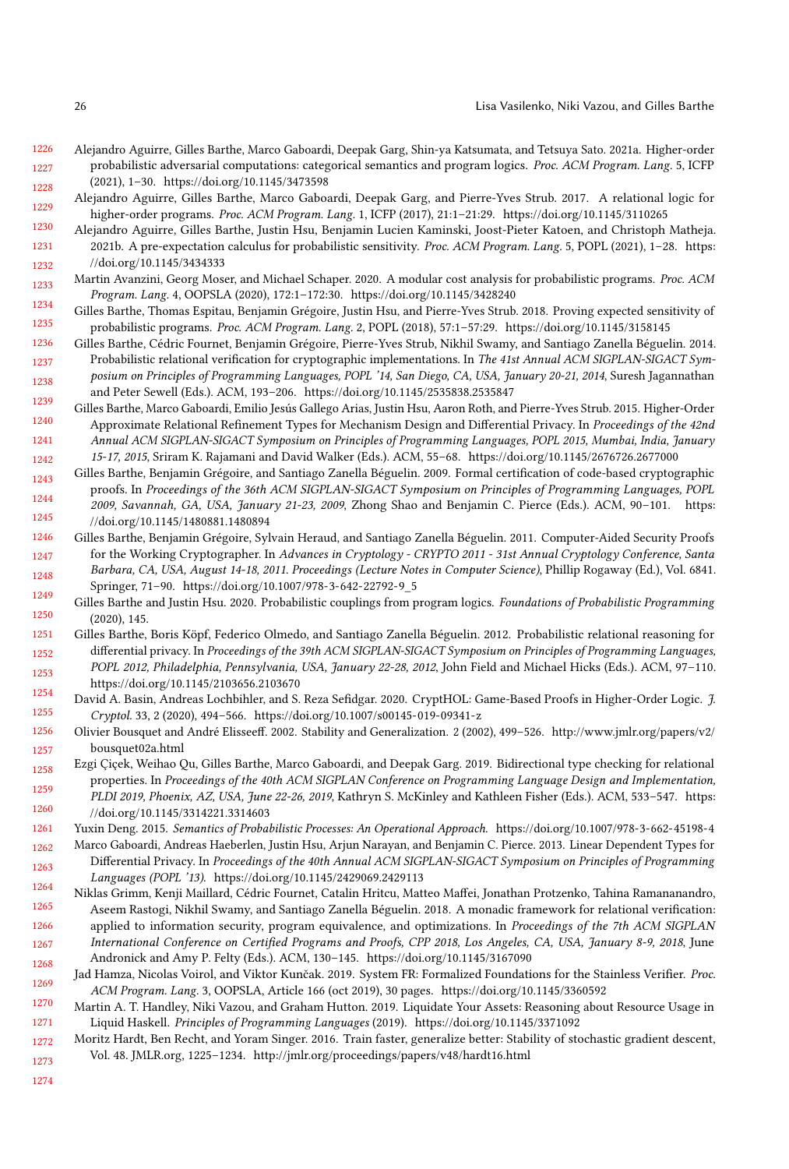- <span id="page-25-10"></span>1226 1227 1228 Alejandro Aguirre, Gilles Barthe, Marco Gaboardi, Deepak Garg, Shin-ya Katsumata, and Tetsuya Sato. 2021a. Higher-order probabilistic adversarial computations: categorical semantics and program logics. Proc. ACM Program. Lang. 5, ICFP (2021), 1–30.<https://doi.org/10.1145/3473598>
- <span id="page-25-4"></span>1229 Alejandro Aguirre, Gilles Barthe, Marco Gaboardi, Deepak Garg, and Pierre-Yves Strub. 2017. A relational logic for higher-order programs. Proc. ACM Program. Lang. 1, ICFP (2017), 21:1–21:29.<https://doi.org/10.1145/3110265>
- <span id="page-25-16"></span>1230 1231 1232 Alejandro Aguirre, Gilles Barthe, Justin Hsu, Benjamin Lucien Kaminski, Joost-Pieter Katoen, and Christoph Matheja. 2021b. A pre-expectation calculus for probabilistic sensitivity. Proc. ACM Program. Lang. 5, POPL (2021), 1–28. [https:](https://doi.org/10.1145/3434333) [//doi.org/10.1145/3434333](https://doi.org/10.1145/3434333)
- <span id="page-25-11"></span>1233 1234 Martin Avanzini, Georg Moser, and Michael Schaper. 2020. A modular cost analysis for probabilistic programs. Proc. ACM Program. Lang. 4, OOPSLA (2020), 172:1–172:30.<https://doi.org/10.1145/3428240>
- <span id="page-25-15"></span>1235 Gilles Barthe, Thomas Espitau, Benjamin Grégoire, Justin Hsu, and Pierre-Yves Strub. 2018. Proving expected sensitivity of probabilistic programs. Proc. ACM Program. Lang. 2, POPL (2018), 57:1–57:29.<https://doi.org/10.1145/3158145>
- <span id="page-25-2"></span>1236 1237 1238 Gilles Barthe, Cédric Fournet, Benjamin Grégoire, Pierre-Yves Strub, Nikhil Swamy, and Santiago Zanella Béguelin. 2014. Probabilistic relational verification for cryptographic implementations. In The 41st Annual ACM SIGPLAN-SIGACT Symposium on Principles of Programming Languages, POPL '14, San Diego, CA, USA, January 20-21, 2014, Suresh Jagannathan and Peter Sewell (Eds.). ACM, 193–206.<https://doi.org/10.1145/2535838.2535847>
- <span id="page-25-19"></span>1239 1240 1241 1242 Gilles Barthe, Marco Gaboardi, Emilio Jesús Gallego Arias, Justin Hsu, Aaron Roth, and Pierre-Yves Strub. 2015. Higher-Order Approximate Relational Refinement Types for Mechanism Design and Differential Privacy. In Proceedings of the 42nd Annual ACM SIGPLAN-SIGACT Symposium on Principles of Programming Languages, POPL 2015, Mumbai, India, January 15-17, 2015, Sriram K. Rajamani and David Walker (Eds.). ACM, 55–68.<https://doi.org/10.1145/2676726.2677000>
- <span id="page-25-12"></span>1243 1244 1245 Gilles Barthe, Benjamin Grégoire, and Santiago Zanella Béguelin. 2009. Formal certification of code-based cryptographic proofs. In Proceedings of the 36th ACM SIGPLAN-SIGACT Symposium on Principles of Programming Languages, POPL 2009, Savannah, GA, USA, January 21-23, 2009, Zhong Shao and Benjamin C. Pierce (Eds.). ACM, 90–101. [https:](https://doi.org/10.1145/1480881.1480894) [//doi.org/10.1145/1480881.1480894](https://doi.org/10.1145/1480881.1480894)
- <span id="page-25-13"></span>1246 1247 1248 1249 Gilles Barthe, Benjamin Grégoire, Sylvain Heraud, and Santiago Zanella Béguelin. 2011. Computer-Aided Security Proofs for the Working Cryptographer. In Advances in Cryptology - CRYPTO 2011 - 31st Annual Cryptology Conference, Santa Barbara, CA, USA, August 14-18, 2011. Proceedings (Lecture Notes in Computer Science), Phillip Rogaway (Ed.), Vol. 6841. Springer, 71–90. [https://doi.org/10.1007/978-3-642-22792-9\\_5](https://doi.org/10.1007/978-3-642-22792-9_5)
- <span id="page-25-5"></span>1250 Gilles Barthe and Justin Hsu. 2020. Probabilistic couplings from program logics. Foundations of Probabilistic Programming (2020), 145.
- <span id="page-25-9"></span>1251 1252 1253 1254 Gilles Barthe, Boris Köpf, Federico Olmedo, and Santiago Zanella Béguelin. 2012. Probabilistic relational reasoning for differential privacy. In Proceedings of the 39th ACM SIGPLAN-SIGACT Symposium on Principles of Programming Languages, POPL 2012, Philadelphia, Pennsylvania, USA, January 22-28, 2012, John Field and Michael Hicks (Eds.). ACM, 97–110. <https://doi.org/10.1145/2103656.2103670>
- <span id="page-25-14"></span>1255 David A. Basin, Andreas Lochbihler, and S. Reza Sefidgar. 2020. CryptHOL: Game-Based Proofs in Higher-Order Logic. J. Cryptol. 33, 2 (2020), 494–566.<https://doi.org/10.1007/s00145-019-09341-z>
- <span id="page-25-7"></span>1256 1257 Olivier Bousquet and André Elisseeff. 2002. Stability and Generalization. 2 (2002), 499–526. [http://www.jmlr.org/papers/v2/](http://www.jmlr.org/papers/v2/bousquet02a.html) [bousquet02a.html](http://www.jmlr.org/papers/v2/bousquet02a.html)
- <span id="page-25-3"></span>1258 1259 1260 Ezgi Çiçek, Weihao Qu, Gilles Barthe, Marco Gaboardi, and Deepak Garg. 2019. Bidirectional type checking for relational properties. In Proceedings of the 40th ACM SIGPLAN Conference on Programming Language Design and Implementation, PLDI 2019, Phoenix, AZ, USA, June 22-26, 2019, Kathryn S. McKinley and Kathleen Fisher (Eds.). ACM, 533–547. [https:](https://doi.org/10.1145/3314221.3314603) [//doi.org/10.1145/3314221.3314603](https://doi.org/10.1145/3314221.3314603)
- <span id="page-25-6"></span>1261 Yuxin Deng. 2015. Semantics of Probabilistic Processes: An Operational Approach.<https://doi.org/10.1007/978-3-662-45198-4>
- <span id="page-25-18"></span>1262 1263 1264 Marco Gaboardi, Andreas Haeberlen, Justin Hsu, Arjun Narayan, and Benjamin C. Pierce. 2013. Linear Dependent Types for Differential Privacy. In Proceedings of the 40th Annual ACM SIGPLAN-SIGACT Symposium on Principles of Programming Languages (POPL '13).<https://doi.org/10.1145/2429069.2429113>
- <span id="page-25-17"></span>1265 1266 1267 1268 Niklas Grimm, Kenji Maillard, Cédric Fournet, Catalin Hritcu, Matteo Maffei, Jonathan Protzenko, Tahina Ramananandro, Aseem Rastogi, Nikhil Swamy, and Santiago Zanella Béguelin. 2018. A monadic framework for relational verification: applied to information security, program equivalence, and optimizations. In Proceedings of the 7th ACM SIGPLAN International Conference on Certified Programs and Proofs, CPP 2018, Los Angeles, CA, USA, January 8-9, 2018, June Andronick and Amy P. Felty (Eds.). ACM, 130–145.<https://doi.org/10.1145/3167090>
- <span id="page-25-0"></span>1269 Jad Hamza, Nicolas Voirol, and Viktor Kunčak. 2019. System FR: Formalized Foundations for the Stainless Verifier. Proc. ACM Program. Lang. 3, OOPSLA, Article 166 (oct 2019), 30 pages.<https://doi.org/10.1145/3360592>
- <span id="page-25-1"></span>1270 1271 Martin A. T. Handley, Niki Vazou, and Graham Hutton. 2019. Liquidate Your Assets: Reasoning about Resource Usage in Liquid Haskell. Principles of Programming Languages (2019).<https://doi.org/10.1145/3371092>
- <span id="page-25-8"></span>1272 1273 Moritz Hardt, Ben Recht, and Yoram Singer. 2016. Train faster, generalize better: Stability of stochastic gradient descent, Vol. 48. JMLR.org, 1225–1234.<http://jmlr.org/proceedings/papers/v48/hardt16.html>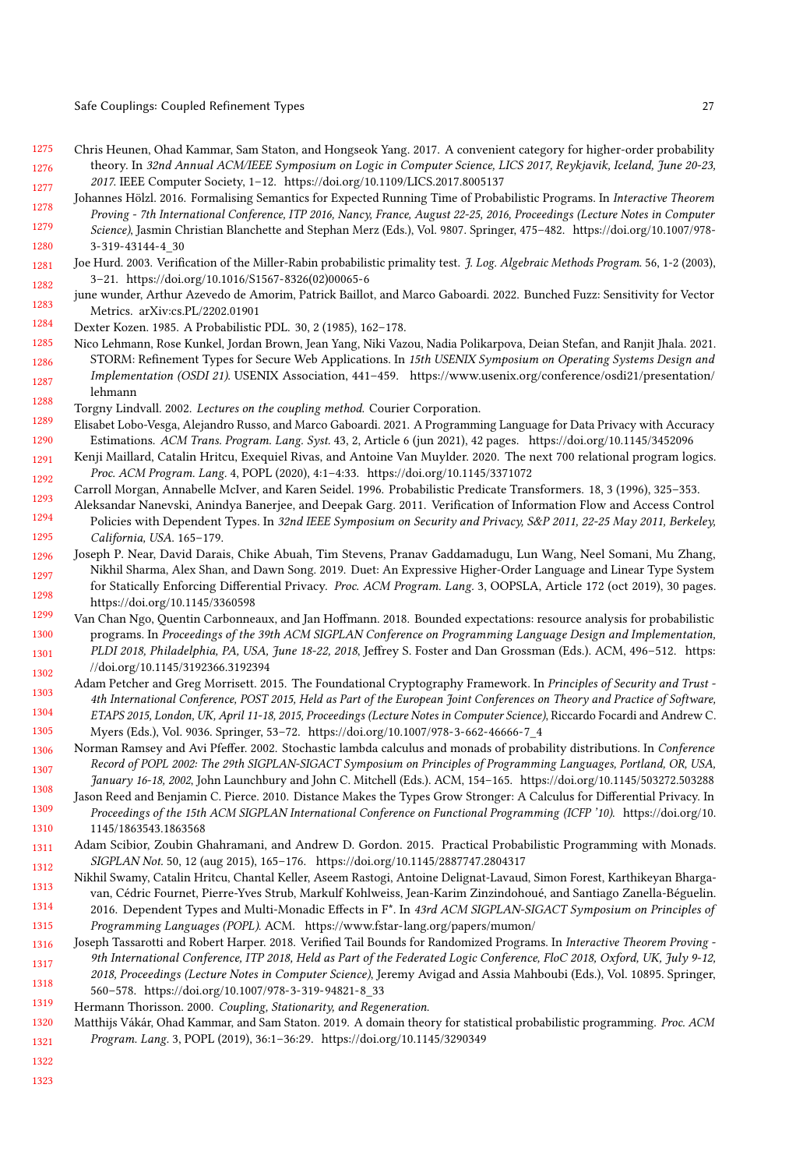- <span id="page-26-7"></span>1275 1276 1277 Chris Heunen, Ohad Kammar, Sam Staton, and Hongseok Yang. 2017. A convenient category for higher-order probability theory. In 32nd Annual ACM/IEEE Symposium on Logic in Computer Science, LICS 2017, Reykjavik, Iceland, June 20-23, 2017. IEEE Computer Society, 1–12.<https://doi.org/10.1109/LICS.2017.8005137>
- <span id="page-26-11"></span>1278 1279 1280 Johannes Hölzl. 2016. Formalising Semantics for Expected Running Time of Probabilistic Programs. In Interactive Theorem Proving - 7th International Conference, ITP 2016, Nancy, France, August 22-25, 2016, Proceedings (Lecture Notes in Computer Science), Jasmin Christian Blanchette and Stephan Merz (Eds.), Vol. 9807. Springer, 475–482. [https://doi.org/10.1007/978-](https://doi.org/10.1007/978-3-319-43144-4_30) [3-319-43144-4\\_30](https://doi.org/10.1007/978-3-319-43144-4_30)
- <span id="page-26-12"></span>1281 1282 Joe Hurd. 2003. Verification of the Miller-Rabin probabilistic primality test. J. Log. Algebraic Methods Program. 56, 1-2 (2003), 3–21. [https://doi.org/10.1016/S1567-8326\(02\)00065-6](https://doi.org/10.1016/S1567-8326(02)00065-6)
- <span id="page-26-19"></span>1283 june wunder, Arthur Azevedo de Amorim, Patrick Baillot, and Marco Gaboardi. 2022. Bunched Fuzz: Sensitivity for Vector Metrics. arXiv[:cs.PL/2202.01901](https://arxiv.org/abs/cs.PL/2202.01901)
- <span id="page-26-9"></span>1284 Dexter Kozen. 1985. A Probabilistic PDL. 30, 2 (1985), 162–178.
- <span id="page-26-1"></span>1285 1286 1287 1288 Nico Lehmann, Rose Kunkel, Jordan Brown, Jean Yang, Niki Vazou, Nadia Polikarpova, Deian Stefan, and Ranjit Jhala. 2021. STORM: Refinement Types for Secure Web Applications. In 15th USENIX Symposium on Operating Systems Design and Implementation (OSDI 21). USENIX Association, 441–459. [https://www.usenix.org/conference/osdi21/presentation/](https://www.usenix.org/conference/osdi21/presentation/lehmann) [lehmann](https://www.usenix.org/conference/osdi21/presentation/lehmann)
- <span id="page-26-3"></span>Torgny Lindvall. 2002. Lectures on the coupling method. Courier Corporation.
- <span id="page-26-20"></span>1289 1290 Elisabet Lobo-Vesga, Alejandro Russo, and Marco Gaboardi. 2021. A Programming Language for Data Privacy with Accuracy Estimations. ACM Trans. Program. Lang. Syst. 43, 2, Article 6 (jun 2021), 42 pages.<https://doi.org/10.1145/3452096>
- <span id="page-26-2"></span>1291 1292 Kenji Maillard, Catalin Hritcu, Exequiel Rivas, and Antoine Van Muylder. 2020. The next 700 relational program logics. Proc. ACM Program. Lang. 4, POPL (2020), 4:1–4:33.<https://doi.org/10.1145/3371072>
- <span id="page-26-10"></span>1293 Carroll Morgan, Annabelle McIver, and Karen Seidel. 1996. Probabilistic Predicate Transformers. 18, 3 (1996), 325–353.
- <span id="page-26-16"></span>1294 1295 Aleksandar Nanevski, Anindya Banerjee, and Deepak Garg. 2011. Verification of Information Flow and Access Control Policies with Dependent Types. In 32nd IEEE Symposium on Security and Privacy, S&P 2011, 22-25 May 2011, Berkeley, California, USA. 165–179.
- <span id="page-26-18"></span>1296 1297 1298 Joseph P. Near, David Darais, Chike Abuah, Tim Stevens, Pranav Gaddamadugu, Lun Wang, Neel Somani, Mu Zhang, Nikhil Sharma, Alex Shan, and Dawn Song. 2019. Duet: An Expressive Higher-Order Language and Linear Type System for Statically Enforcing Differential Privacy. Proc. ACM Program. Lang. 3, OOPSLA, Article 172 (oct 2019), 30 pages. <https://doi.org/10.1145/3360598>
- <span id="page-26-13"></span>1299 1300 1301 1302 Van Chan Ngo, Quentin Carbonneaux, and Jan Hoffmann. 2018. Bounded expectations: resource analysis for probabilistic programs. In Proceedings of the 39th ACM SIGPLAN Conference on Programming Language Design and Implementation, PLDI 2018, Philadelphia, PA, USA, June 18-22, 2018, Jeffrey S. Foster and Dan Grossman (Eds.). ACM, 496–512. [https:](https://doi.org/10.1145/3192366.3192394) [//doi.org/10.1145/3192366.3192394](https://doi.org/10.1145/3192366.3192394)
- <span id="page-26-15"></span>1303 1304 1305 Adam Petcher and Greg Morrisett. 2015. The Foundational Cryptography Framework. In Principles of Security and Trust -4th International Conference, POST 2015, Held as Part of the European Joint Conferences on Theory and Practice of Software, ETAPS 2015, London, UK, April 11-18, 2015, Proceedings (Lecture Notes in Computer Science), Riccardo Focardi and Andrew C. Myers (Eds.), Vol. 9036. Springer, 53–72. [https://doi.org/10.1007/978-3-662-46666-7\\_4](https://doi.org/10.1007/978-3-662-46666-7_4)
- <span id="page-26-5"></span>1306 1307 Norman Ramsey and Avi Pfeffer. 2002. Stochastic lambda calculus and monads of probability distributions. In Conference Record of POPL 2002: The 29th SIGPLAN-SIGACT Symposium on Principles of Programming Languages, Portland, OR, USA, January 16-18, 2002, John Launchbury and John C. Mitchell (Eds.). ACM, 154–165.<https://doi.org/10.1145/503272.503288>
- <span id="page-26-17"></span>1308 1309 1310 Jason Reed and Benjamin C. Pierce. 2010. Distance Makes the Types Grow Stronger: A Calculus for Differential Privacy. In Proceedings of the 15th ACM SIGPLAN International Conference on Functional Programming (ICFP '10). [https://doi.org/10.](https://doi.org/10.1145/1863543.1863568) [1145/1863543.1863568](https://doi.org/10.1145/1863543.1863568)
- <span id="page-26-6"></span>1311 1312 Adam Scibior, Zoubin Ghahramani, and Andrew D. Gordon. 2015. Practical Probabilistic Programming with Monads. SIGPLAN Not. 50, 12 (aug 2015), 165–176.<https://doi.org/10.1145/2887747.2804317>
- <span id="page-26-0"></span>1313 1314 1315 Nikhil Swamy, Catalin Hritcu, Chantal Keller, Aseem Rastogi, Antoine Delignat-Lavaud, Simon Forest, Karthikeyan Bhargavan, Cédric Fournet, Pierre-Yves Strub, Markulf Kohlweiss, Jean-Karim Zinzindohoué, and Santiago Zanella-Béguelin. 2016. Dependent Types and Multi-Monadic Effects in F\*. In 43rd ACM SIGPLAN-SIGACT Symposium on Principles of Programming Languages (POPL). ACM.<https://www.fstar-lang.org/papers/mumon/>
- <span id="page-26-14"></span>1316 1317 1318 Joseph Tassarotti and Robert Harper. 2018. Verified Tail Bounds for Randomized Programs. In Interactive Theorem Proving - 9th International Conference, ITP 2018, Held as Part of the Federated Logic Conference, FloC 2018, Oxford, UK, July 9-12, 2018, Proceedings (Lecture Notes in Computer Science), Jeremy Avigad and Assia Mahboubi (Eds.), Vol. 10895. Springer, 560–578. [https://doi.org/10.1007/978-3-319-94821-8\\_33](https://doi.org/10.1007/978-3-319-94821-8_33)
- <span id="page-26-4"></span>1319 Hermann Thorisson. 2000. Coupling, Stationarity, and Regeneration.
- <span id="page-26-8"></span>1320 1321 Matthijs Vákár, Ohad Kammar, and Sam Staton. 2019. A domain theory for statistical probabilistic programming. Proc. ACM Program. Lang. 3, POPL (2019), 36:1–36:29.<https://doi.org/10.1145/3290349>
- 1322
- 1323